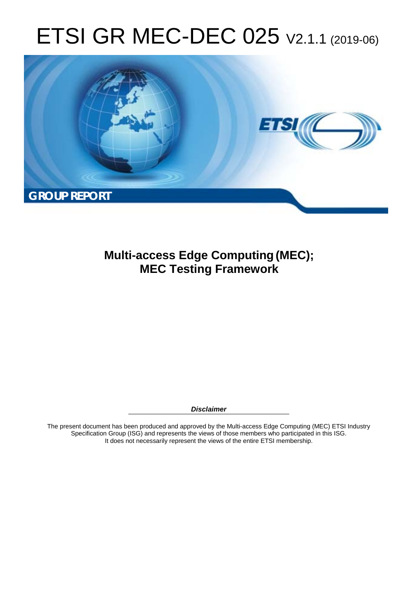# ETSI GR MEC-DEC 025 V2.1.1 (2019-06)



**Multi-access Edge Computing (MEC); MEC Testing Framework** 

*Disclaimer* 

The present document has been produced and approved by the Multi-access Edge Computing (MEC) ETSI Industry Specification Group (ISG) and represents the views of those members who participated in this ISG. It does not necessarily represent the views of the entire ETSI membership.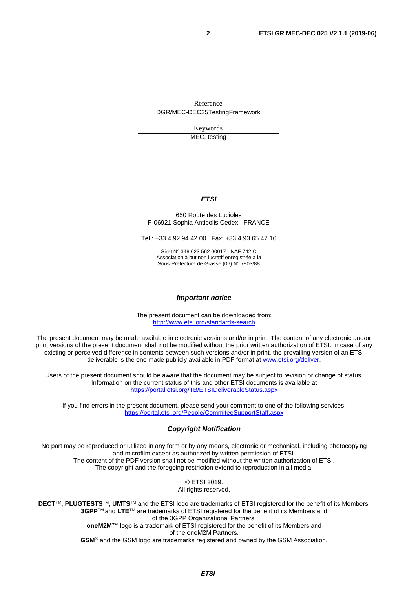Reference DGR/MEC-DEC25TestingFramework

Keywords

MEC, testing

#### *ETSI*

#### 650 Route des Lucioles F-06921 Sophia Antipolis Cedex - FRANCE

Tel.: +33 4 92 94 42 00 Fax: +33 4 93 65 47 16

Siret N° 348 623 562 00017 - NAF 742 C Association à but non lucratif enregistrée à la Sous-Préfecture de Grasse (06) N° 7803/88

#### *Important notice*

The present document can be downloaded from: <http://www.etsi.org/standards-search>

The present document may be made available in electronic versions and/or in print. The content of any electronic and/or print versions of the present document shall not be modified without the prior written authorization of ETSI. In case of any existing or perceived difference in contents between such versions and/or in print, the prevailing version of an ETSI deliverable is the one made publicly available in PDF format at [www.etsi.org/deliver](http://www.etsi.org/deliver).

Users of the present document should be aware that the document may be subject to revision or change of status. Information on the current status of this and other ETSI documents is available at <https://portal.etsi.org/TB/ETSIDeliverableStatus.aspx>

If you find errors in the present document, please send your comment to one of the following services: <https://portal.etsi.org/People/CommiteeSupportStaff.aspx>

#### *Copyright Notification*

No part may be reproduced or utilized in any form or by any means, electronic or mechanical, including photocopying and microfilm except as authorized by written permission of ETSI. The content of the PDF version shall not be modified without the written authorization of ETSI. The copyright and the foregoing restriction extend to reproduction in all media.

> © ETSI 2019. All rights reserved.

**DECT**TM, **PLUGTESTS**TM, **UMTS**TM and the ETSI logo are trademarks of ETSI registered for the benefit of its Members. **3GPP**TM and **LTE**TM are trademarks of ETSI registered for the benefit of its Members and of the 3GPP Organizational Partners. **oneM2M™** logo is a trademark of ETSI registered for the benefit of its Members and of the oneM2M Partners. **GSM**® and the GSM logo are trademarks registered and owned by the GSM Association.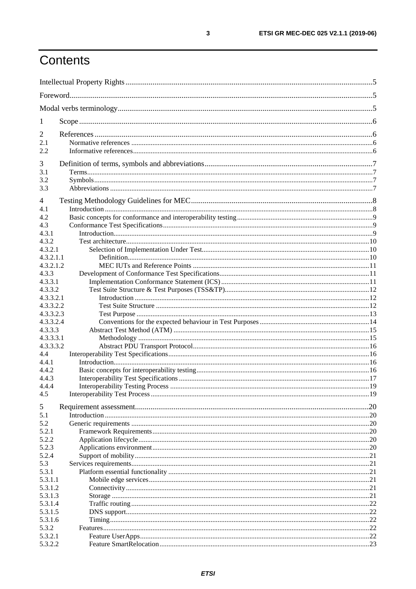# Contents

| $\mathbf{I}$           |  |  |
|------------------------|--|--|
| 2                      |  |  |
| 2.1                    |  |  |
| 2.2                    |  |  |
| 3                      |  |  |
| 3.1                    |  |  |
| 3.2                    |  |  |
| 3.3                    |  |  |
| 4                      |  |  |
| 4.1                    |  |  |
| 4.2                    |  |  |
| 4.3                    |  |  |
| 4.3.1                  |  |  |
| 4.3.2<br>4.3.2.1       |  |  |
| 4.3.2.1.1              |  |  |
| 4.3.2.1.2              |  |  |
| 4.3.3                  |  |  |
| 4.3.3.1                |  |  |
| 4.3.3.2                |  |  |
| 4.3.3.2.1              |  |  |
| 4.3.3.2.2              |  |  |
| 4.3.3.2.3<br>4.3.3.2.4 |  |  |
| 4.3.3.3                |  |  |
| 4.3.3.3.1              |  |  |
| 4.3.3.3.2              |  |  |
| 4.4                    |  |  |
| 4.4.1                  |  |  |
| 4.4.2                  |  |  |
| 4.4.3<br>4.4.4         |  |  |
| 4.5                    |  |  |
|                        |  |  |
| 5                      |  |  |
| 5.1<br>5.2             |  |  |
| 5.2.1                  |  |  |
| 5.2.2                  |  |  |
| 5.2.3                  |  |  |
| 5.2.4                  |  |  |
| 5.3                    |  |  |
| 5.3.1                  |  |  |
| 5.3.1.1<br>5.3.1.2     |  |  |
| 5.3.1.3                |  |  |
| 5.3.1.4                |  |  |
| 5.3.1.5                |  |  |
| 5.3.1.6                |  |  |
| 5.3.2                  |  |  |
| 5.3.2.1                |  |  |
| 5.3.2.2                |  |  |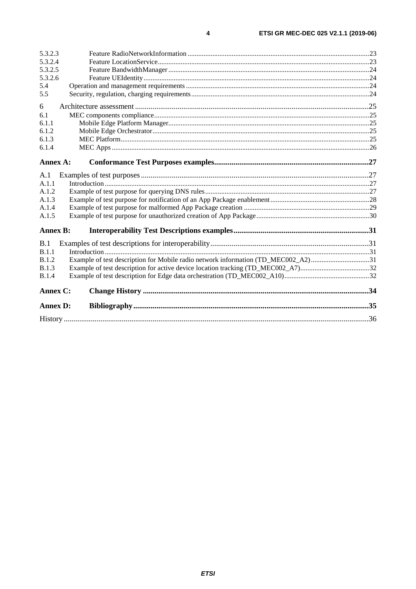| 5.3.2.3         |                                                                                   |  |
|-----------------|-----------------------------------------------------------------------------------|--|
| 5.3.2.4         |                                                                                   |  |
| 5.3.2.5         |                                                                                   |  |
| 5.3.2.6         |                                                                                   |  |
| 5.4             |                                                                                   |  |
| 5.5             |                                                                                   |  |
| 6               |                                                                                   |  |
| 6.1             |                                                                                   |  |
| 6.1.1           |                                                                                   |  |
| 6.1.2           |                                                                                   |  |
| 6.1.3           |                                                                                   |  |
| 6.1.4           |                                                                                   |  |
|                 |                                                                                   |  |
| Annex A:        |                                                                                   |  |
| A.1             |                                                                                   |  |
| A.1.1           |                                                                                   |  |
| A.1.2           |                                                                                   |  |
| A.1.3           |                                                                                   |  |
| A.1.4           |                                                                                   |  |
| A.1.5           |                                                                                   |  |
| <b>Annex B:</b> |                                                                                   |  |
|                 |                                                                                   |  |
| B.1             |                                                                                   |  |
| B.1.1           |                                                                                   |  |
| <b>B.1.2</b>    | Example of test description for Mobile radio network information (TD_MEC002_A2)31 |  |
| <b>B.1.3</b>    |                                                                                   |  |
| B.1.4           |                                                                                   |  |
| Annex C:        |                                                                                   |  |
| <b>Annex D:</b> |                                                                                   |  |
|                 |                                                                                   |  |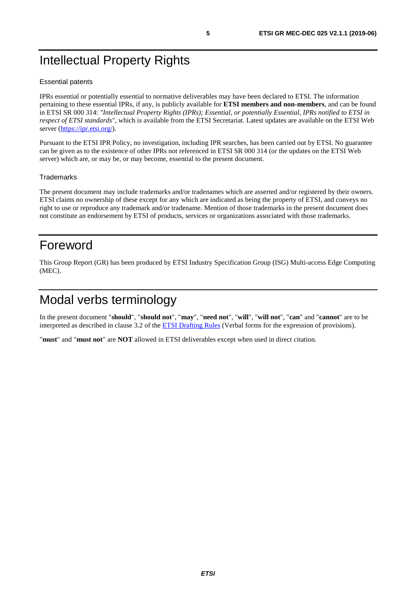# <span id="page-4-0"></span>Intellectual Property Rights

#### Essential patents

IPRs essential or potentially essential to normative deliverables may have been declared to ETSI. The information pertaining to these essential IPRs, if any, is publicly available for **ETSI members and non-members**, and can be found in ETSI SR 000 314: *"Intellectual Property Rights (IPRs); Essential, or potentially Essential, IPRs notified to ETSI in respect of ETSI standards"*, which is available from the ETSI Secretariat. Latest updates are available on the ETSI Web server (<https://ipr.etsi.org/>).

Pursuant to the ETSI IPR Policy, no investigation, including IPR searches, has been carried out by ETSI. No guarantee can be given as to the existence of other IPRs not referenced in ETSI SR 000 314 (or the updates on the ETSI Web server) which are, or may be, or may become, essential to the present document.

#### **Trademarks**

The present document may include trademarks and/or tradenames which are asserted and/or registered by their owners. ETSI claims no ownership of these except for any which are indicated as being the property of ETSI, and conveys no right to use or reproduce any trademark and/or tradename. Mention of those trademarks in the present document does not constitute an endorsement by ETSI of products, services or organizations associated with those trademarks.

# Foreword

This Group Report (GR) has been produced by ETSI Industry Specification Group (ISG) Multi-access Edge Computing (MEC).

# Modal verbs terminology

In the present document "**should**", "**should not**", "**may**", "**need not**", "**will**", "**will not**", "**can**" and "**cannot**" are to be interpreted as described in clause 3.2 of the [ETSI Drafting Rules](https://portal.etsi.org/Services/editHelp!/Howtostart/ETSIDraftingRules.aspx) (Verbal forms for the expression of provisions).

"**must**" and "**must not**" are **NOT** allowed in ETSI deliverables except when used in direct citation.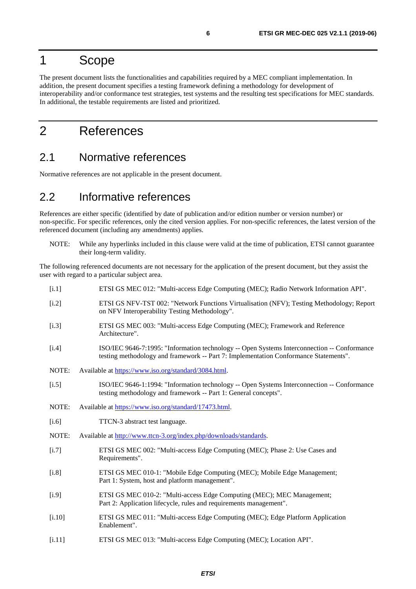# <span id="page-5-0"></span>1 Scope

The present document lists the functionalities and capabilities required by a MEC compliant implementation. In addition, the present document specifies a testing framework defining a methodology for development of interoperability and/or conformance test strategies, test systems and the resulting test specifications for MEC standards. In additional, the testable requirements are listed and prioritized.

# 2 References

### 2.1 Normative references

Normative references are not applicable in the present document.

### 2.2 Informative references

References are either specific (identified by date of publication and/or edition number or version number) or non-specific. For specific references, only the cited version applies. For non-specific references, the latest version of the referenced document (including any amendments) applies.

NOTE: While any hyperlinks included in this clause were valid at the time of publication, ETSI cannot guarantee their long-term validity.

The following referenced documents are not necessary for the application of the present document, but they assist the user with regard to a particular subject area.

| [i.1]   | ETSI GS MEC 012: "Multi-access Edge Computing (MEC); Radio Network Information API".                                                                                                |
|---------|-------------------------------------------------------------------------------------------------------------------------------------------------------------------------------------|
| [i.2]   | ETSI GS NFV-TST 002: "Network Functions Virtualisation (NFV); Testing Methodology; Report<br>on NFV Interoperability Testing Methodology".                                          |
| [i.3]   | ETSI GS MEC 003: "Multi-access Edge Computing (MEC); Framework and Reference<br>Architecture".                                                                                      |
| [i.4]   | ISO/IEC 9646-7:1995: "Information technology -- Open Systems Interconnection -- Conformance<br>testing methodology and framework -- Part 7: Implementation Conformance Statements". |
| NOTE:   | Available at https://www.iso.org/standard/3084.html.                                                                                                                                |
| $[1.5]$ | ISO/IEC 9646-1:1994: "Information technology -- Open Systems Interconnection -- Conformance<br>testing methodology and framework -- Part 1: General concepts".                      |
| NOTE:   | Available at https://www.iso.org/standard/17473.html.                                                                                                                               |
| $[i.6]$ | TTCN-3 abstract test language.                                                                                                                                                      |
| NOTE:   | Available at http://www.ttcn-3.org/index.php/downloads/standards.                                                                                                                   |
| [i.7]   | ETSI GS MEC 002: "Multi-access Edge Computing (MEC); Phase 2: Use Cases and<br>Requirements".                                                                                       |
| $[1.8]$ | ETSI GS MEC 010-1: "Mobile Edge Computing (MEC); Mobile Edge Management;<br>Part 1: System, host and platform management".                                                          |
| [i.9]   | ETSI GS MEC 010-2: "Multi-access Edge Computing (MEC); MEC Management;<br>Part 2: Application lifecycle, rules and requirements management".                                        |
| [i.10]  | ETSI GS MEC 011: "Multi-access Edge Computing (MEC); Edge Platform Application<br>Enablement".                                                                                      |
| [i.11]  | ETSI GS MEC 013: "Multi-access Edge Computing (MEC); Location API".                                                                                                                 |
|         |                                                                                                                                                                                     |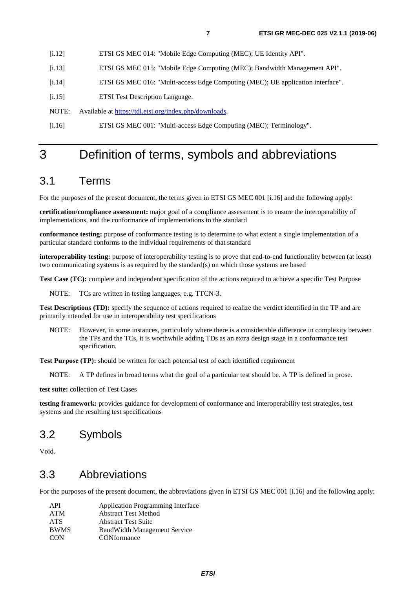- <span id="page-6-0"></span>[i.12] ETSI GS MEC 014: "Mobile Edge Computing (MEC); UE Identity API".
- [i.13] ETSI GS MEC 015: "Mobile Edge Computing (MEC); Bandwidth Management API".
- [i.14] ETSI GS MEC 016: "Multi-access Edge Computing (MEC); UE application interface".
- [i.15] ETSI Test Description Language.

NOTE: Available at<https://tdl.etsi.org/index.php/downloads>.

[i.16] ETSI GS MEC 001: "Multi-access Edge Computing (MEC); Terminology".

# 3 Definition of terms, symbols and abbreviations

### 3.1 Terms

For the purposes of the present document, the terms given in ETSI GS MEC 001 [i.16] and the following apply:

**certification/compliance assessment:** major goal of a compliance assessment is to ensure the interoperability of implementations, and the conformance of implementations to the standard

**conformance testing:** purpose of conformance testing is to determine to what extent a single implementation of a particular standard conforms to the individual requirements of that standard

**interoperability testing:** purpose of interoperability testing is to prove that end-to-end functionality between (at least) two communicating systems is as required by the standard(s) on which those systems are based

**Test Case (TC):** complete and independent specification of the actions required to achieve a specific Test Purpose

NOTE: TCs are written in testing languages, e.g. TTCN-3.

**Test Descriptions (TD):** specify the sequence of actions required to realize the verdict identified in the TP and are primarily intended for use in interoperability test specifications

NOTE: However, in some instances, particularly where there is a considerable difference in complexity between the TPs and the TCs, it is worthwhile adding TDs as an extra design stage in a conformance test specification.

**Test Purpose (TP):** should be written for each potential test of each identified requirement

NOTE: A TP defines in broad terms what the goal of a particular test should be. A TP is defined in prose.

**test suite:** collection of Test Cases

**testing framework:** provides guidance for development of conformance and interoperability test strategies, test systems and the resulting test specifications

### 3.2 Symbols

Void.

### 3.3 Abbreviations

For the purposes of the present document, the abbreviations given in ETSI GS MEC 001 [i.16] and the following apply:

| API         | <b>Application Programming Interface</b> |
|-------------|------------------------------------------|
| ATM         | <b>Abstract Test Method</b>              |
| <b>ATS</b>  | <b>Abstract Test Suite</b>               |
| <b>BWMS</b> | <b>BandWidth Management Service</b>      |
| <b>CON</b>  | CONformance                              |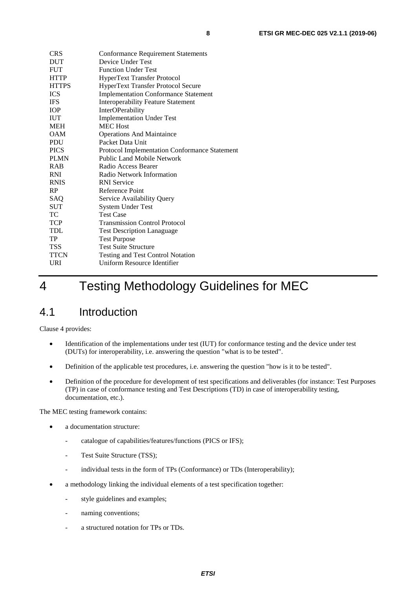<span id="page-7-0"></span>

| <b>Conformance Requirement Statements</b>            |
|------------------------------------------------------|
| Device Under Test                                    |
| <b>Function Under Test</b>                           |
| HyperText Transfer Protocol                          |
| HyperText Transfer Protocol Secure                   |
| <b>Implementation Conformance Statement</b>          |
| <b>Interoperability Feature Statement</b>            |
| InterOPerability                                     |
| <b>Implementation Under Test</b>                     |
| <b>MEC</b> Host                                      |
| <b>Operations And Maintaince</b>                     |
| Packet Data Unit                                     |
| <b>Protocol Implementation Conformance Statement</b> |
| <b>Public Land Mobile Network</b>                    |
| Radio Access Bearer                                  |
| Radio Network Information                            |
| <b>RNI</b> Service                                   |
| Reference Point                                      |
| Service Availability Query                           |
| System Under Test                                    |
| <b>Test Case</b>                                     |
| <b>Transmission Control Protocol</b>                 |
| <b>Test Description Lanaguage</b>                    |
| <b>Test Purpose</b>                                  |
| <b>Test Suite Structure</b>                          |
| <b>Testing and Test Control Notation</b>             |
| Uniform Resource Identifier                          |
|                                                      |

# 4 Testing Methodology Guidelines for MEC

# 4.1 Introduction

Clause 4 provides:

- Identification of the implementations under test (IUT) for conformance testing and the device under test (DUTs) for interoperability, i.e. answering the question "what is to be tested".
- Definition of the applicable test procedures, i.e. answering the question "how is it to be tested".
- Definition of the procedure for development of test specifications and deliverables (for instance: Test Purposes (TP) in case of conformance testing and Test Descriptions (TD) in case of interoperability testing, documentation, etc.).

The MEC testing framework contains:

- a documentation structure:
	- catalogue of capabilities/features/functions (PICS or IFS);
	- Test Suite Structure (TSS);
	- individual tests in the form of TPs (Conformance) or TDs (Interoperability);
- a methodology linking the individual elements of a test specification together:
	- style guidelines and examples;
	- naming conventions;
	- a structured notation for TPs or TDs.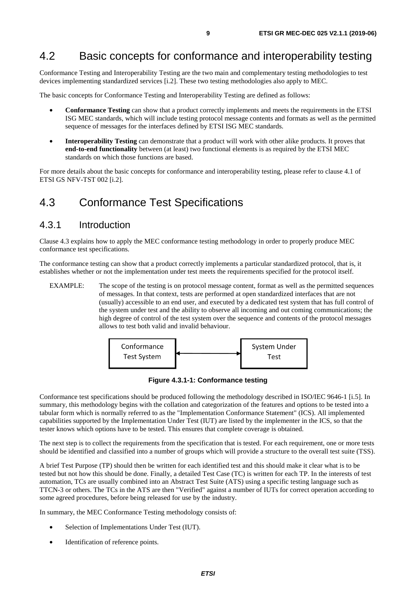### <span id="page-8-0"></span>4.2 Basic concepts for conformance and interoperability testing

Conformance Testing and Interoperability Testing are the two main and complementary testing methodologies to test devices implementing standardized services [\[i.2](#page-5-0)]. These two testing methodologies also apply to MEC.

The basic concepts for Conformance Testing and Interoperability Testing are defined as follows:

- **Conformance Testing** can show that a product correctly implements and meets the requirements in the ETSI ISG MEC standards, which will include testing protocol message contents and formats as well as the permitted sequence of messages for the interfaces defined by ETSI ISG MEC standards.
- **Interoperability Testing** can demonstrate that a product will work with other alike products. It proves that **end-to-end functionality** between (at least) two functional elements is as required by the ETSI MEC standards on which those functions are based.

For more details about the basic concepts for conformance and interoperability testing, please refer to clause 4.1 of ETSI GS NFV-TST 002 [\[i.2](#page-5-0)].

### 4.3 Conformance Test Specifications

### 4.3.1 Introduction

Clause 4.3 explains how to apply the MEC conformance testing methodology in order to properly produce MEC conformance test specifications.

The conformance testing can show that a product correctly implements a particular standardized protocol, that is, it establishes whether or not the implementation under test meets the requirements specified for the protocol itself.

EXAMPLE: The scope of the testing is on protocol message content, format as well as the permitted sequences of messages. In that context, tests are performed at open standardized interfaces that are not (usually) accessible to an end user, and executed by a dedicated test system that has full control of the system under test and the ability to observe all incoming and out coming communications; the high degree of control of the test system over the sequence and contents of the protocol messages allows to test both valid and invalid behaviour.



**Figure 4.3.1-1: Conformance testing** 

Conformance test specifications should be produced following the methodology described in ISO/IEC 9646-1 [\[i.5](#page-5-0)]. In summary, this methodology begins with the collation and categorization of the features and options to be tested into a tabular form which is normally referred to as the "Implementation Conformance Statement" (ICS). All implemented capabilities supported by the Implementation Under Test (IUT) are listed by the implementer in the ICS, so that the tester knows which options have to be tested. This ensures that complete coverage is obtained.

The next step is to collect the requirements from the specification that is tested. For each requirement, one or more tests should be identified and classified into a number of groups which will provide a structure to the overall test suite (TSS).

A brief Test Purpose (TP) should then be written for each identified test and this should make it clear what is to be tested but not how this should be done. Finally, a detailed Test Case (TC) is written for each TP. In the interests of test automation, TCs are usually combined into an Abstract Test Suite (ATS) using a specific testing language such as TTCN-3 or others. The TCs in the ATS are then "Verified" against a number of IUTs for correct operation according to some agreed procedures, before being released for use by the industry.

In summary, the MEC Conformance Testing methodology consists of:

- Selection of Implementations Under Test (IUT).
- Identification of reference points.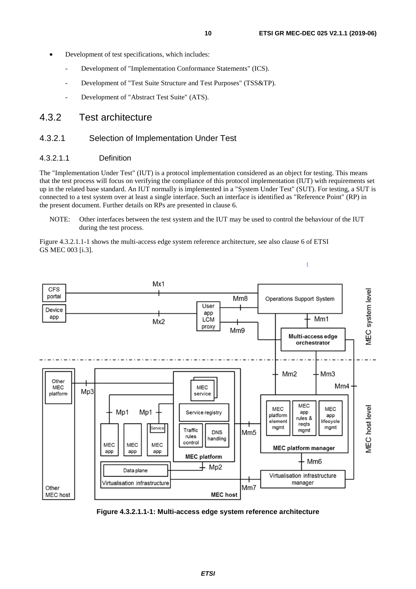Ï

- <span id="page-9-0"></span>Development of test specifications, which includes:
	- Development of "Implementation Conformance Statements" (ICS).
	- Development of "Test Suite Structure and Test Purposes" (TSS&TP).
	- Development of "Abstract Test Suite" (ATS).

### 4.3.2 Test architecture

#### 4.3.2.1 Selection of Implementation Under Test

#### 4.3.2.1.1 Definition

The "Implementation Under Test" (IUT) is a protocol implementation considered as an object for testing. This means that the test process will focus on verifying the compliance of this protocol implementation (IUT) with requirements set up in the related base standard. An IUT normally is implemented in a "System Under Test" (SUT). For testing, a SUT is connected to a test system over at least a single interface. Such an interface is identified as "Reference Point" (RP) in the present document. Further details on RPs are presented in clause 6.

NOTE: Other interfaces between the test system and the IUT may be used to control the behaviour of the IUT during the test process.

Figure 4.3.2.1.1-1 shows the multi-access edge system reference architecture, see also clause 6 of ETSI GS MEC 003 [[i.3](#page-5-0)].



**Figure 4.3.2.1.1-1: Multi-access edge system reference architecture**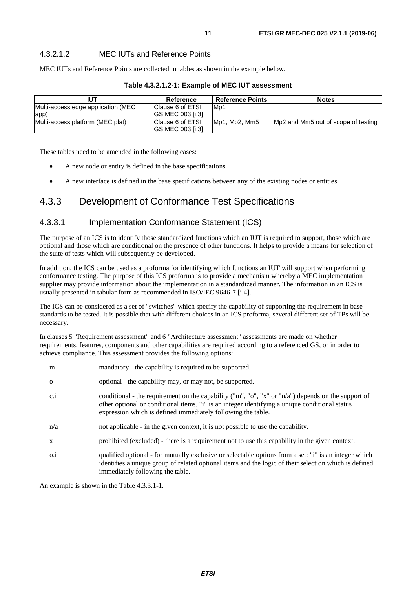### <span id="page-10-0"></span>4.3.2.1.2 MEC IUTs and Reference Points

MEC IUTs and Reference Points are collected in tables as shown in the example below.

| <b>IUT</b>                         | Reference                | <b>Reference Points</b> | <b>Notes</b>                        |
|------------------------------------|--------------------------|-------------------------|-------------------------------------|
| Multi-access edge application (MEC | Clause 6 of ETSI         | M <sub>p</sub> 1        |                                     |
| app)                               | IGS MEC 003 [i.3]        |                         |                                     |
| Multi-access platform (MEC plat)   | Clause 6 of ETSI         | Mp1, Mp2, Mm5           | Mp2 and Mm5 out of scope of testing |
|                                    | <b>IGS MEC 003 [i.3]</b> |                         |                                     |

**Table 4.3.2.1.2-1: Example of MEC IUT assessment** 

These tables need to be amended in the following cases:

- A new node or entity is defined in the base specifications.
- A new interface is defined in the base specifications between any of the existing nodes or entities.

### 4.3.3 Development of Conformance Test Specifications

#### 4.3.3.1 Implementation Conformance Statement (ICS)

The purpose of an ICS is to identify those standardized functions which an IUT is required to support, those which are optional and those which are conditional on the presence of other functions. It helps to provide a means for selection of the suite of tests which will subsequently be developed.

In addition, the ICS can be used as a proforma for identifying which functions an IUT will support when performing conformance testing. The purpose of this ICS proforma is to provide a mechanism whereby a MEC implementation supplier may provide information about the implementation in a standardized manner. The information in an ICS is usually presented in tabular form as recommended in ISO/IEC 9646-7 [\[i.4](#page-5-0)].

The ICS can be considered as a set of "switches" which specify the capability of supporting the requirement in base standards to be tested. It is possible that with different choices in an ICS proforma, several different set of TPs will be necessary.

In clauses [5](#page-19-0) "Requirement assessment" and [6](#page-24-0) "Architecture assessment" assessments are made on whether requirements, features, components and other capabilities are required according to a referenced GS, or in order to achieve compliance. This assessment provides the following options:

| m            | mandatory - the capability is required to be supported.                                                                                                                                                                                                              |
|--------------|----------------------------------------------------------------------------------------------------------------------------------------------------------------------------------------------------------------------------------------------------------------------|
| $\Omega$     | optional - the capability may, or may not, be supported.                                                                                                                                                                                                             |
| c.i          | conditional - the requirement on the capability ("m", "o", "x" or "n/a") depends on the support of<br>other optional or conditional items. "i" is an integer identifying a unique conditional status<br>expression which is defined immediately following the table. |
| n/a          | not applicable - in the given context, it is not possible to use the capability.                                                                                                                                                                                     |
| $\mathbf{x}$ | prohibited (excluded) - there is a requirement not to use this capability in the given context.                                                                                                                                                                      |
| $0.\dot{1}$  | qualified optional - for mutually exclusive or selectable options from a set: "i" is an integer which<br>identifies a unique group of related optional items and the logic of their selection which is defined<br>immediately following the table.                   |

An example is shown in the [Table 4.3.3.1-1](#page-11-0).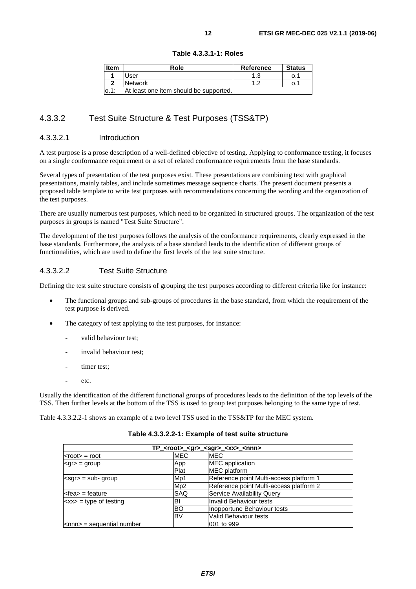<span id="page-11-0"></span>

| <b>Item</b> | Role                                   | Reference | <b>Status</b> |
|-------------|----------------------------------------|-----------|---------------|
|             | User                                   |           | O. 1          |
|             | Network                                |           | 0.1           |
| 0.1:        | At least one item should be supported. |           |               |

#### **Table 4.3.3.1-1: Roles**

### 4.3.3.2 Test Suite Structure & Test Purposes (TSS&TP)

#### 4.3.3.2.1 Introduction

A test purpose is a prose description of a well-defined objective of testing. Applying to conformance testing, it focuses on a single conformance requirement or a set of related conformance requirements from the base standards.

Several types of presentation of the test purposes exist. These presentations are combining text with graphical presentations, mainly tables, and include sometimes message sequence charts. The present document presents a proposed table template to write test purposes with recommendations concerning the wording and the organization of the test purposes.

There are usually numerous test purposes, which need to be organized in structured groups. The organization of the test purposes in groups is named "Test Suite Structure".

The development of the test purposes follows the analysis of the conformance requirements, clearly expressed in the base standards. Furthermore, the analysis of a base standard leads to the identification of different groups of functionalities, which are used to define the first levels of the test suite structure.

#### 4.3.3.2.2 Test Suite Structure

Defining the test suite structure consists of grouping the test purposes according to different criteria like for instance:

- The functional groups and sub-groups of procedures in the base standard, from which the requirement of the test purpose is derived.
- The category of test applying to the test purposes, for instance:
	- valid behaviour test;
	- invalid behaviour test:
	- timer test;
	- etc.

Usually the identification of the different functional groups of procedures leads to the definition of the top levels of the TSS. Then further levels at the bottom of the TSS is used to group test purposes belonging to the same type of test.

Table 4.3.3.2.2-1 shows an example of a two level TSS used in the TSS&TP for the MEC system.

| TP_ <root>_<gr>_<sgr>_<xx>_<nnn></nnn></xx></sgr></gr></root> |            |                                         |  |  |
|---------------------------------------------------------------|------------|-----------------------------------------|--|--|
| <root> = root</root>                                          | <b>MEC</b> | <b>MEC</b>                              |  |  |
| <gr> = group</gr>                                             | App        | <b>MEC</b> application                  |  |  |
|                                                               | Plat       | <b>MEC</b> platform                     |  |  |
| $<$ sgr $>$ = sub-group                                       | Mp1        | Reference point Multi-access platform 1 |  |  |
|                                                               | Mp2        | Reference point Multi-access platform 2 |  |  |
| <fea> = feature</fea>                                         | SAQ        | <b>Service Availability Query</b>       |  |  |
| $\langle$ xx> = type of testing                               | BI         | IInvalid Behaviour tests                |  |  |
|                                                               | <b>BO</b>  | Inopportune Behaviour tests             |  |  |
|                                                               | <b>BV</b>  | Valid Behaviour tests                   |  |  |
| <nnn> = sequential number</nnn>                               |            | l001 to 999                             |  |  |

#### **Table 4.3.3.2.2-1: Example of test suite structure**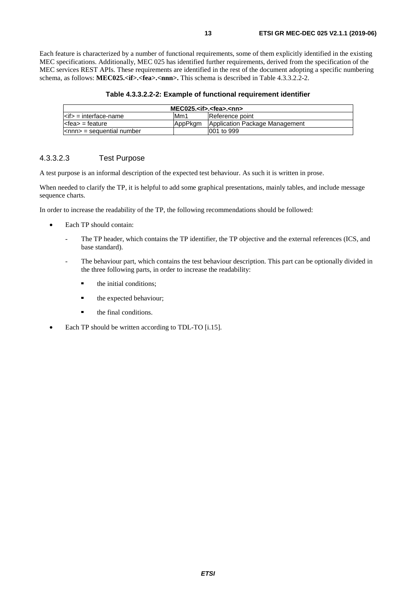<span id="page-12-0"></span>Each feature is characterized by a number of functional requirements, some of them explicitly identified in the existing MEC specifications. Additionally, MEC 025 has identified further requirements, derived from the specification of the MEC services REST APIs. These requirements are identified in the rest of the document adopting a specific numbering schema, as follows: **MEC025.<if>.<fea>.<nnn>.** This schema is described in Table 4.3.3.2.2-2.

| $MEC025.$ cif>. <fea>.<nn></nn></fea> |          |                                |
|---------------------------------------|----------|--------------------------------|
| $\leq$ if> = interface-name           | Mm1      | Reference point                |
| $\leq$ fea $>$ = feature              | lAppPkam | Application Package Management |
| $\leq$ nnn $>$ = sequential number    |          | 1001 to 999                    |

#### 4.3.3.2.3 Test Purpose

A test purpose is an informal description of the expected test behaviour. As such it is written in prose.

When needed to clarify the TP, it is helpful to add some graphical presentations, mainly tables, and include message sequence charts.

In order to increase the readability of the TP, the following recommendations should be followed:

- Each TP should contain:
	- The TP header, which contains the TP identifier, the TP objective and the external references (ICS, and base standard).
	- The behaviour part, which contains the test behaviour description. This part can be optionally divided in the three following parts, in order to increase the readability:
		- the initial conditions;
		- the expected behaviour;
		- the final conditions.
- Each TP should be written according to TDL-TO [\[i.15](#page-6-0)].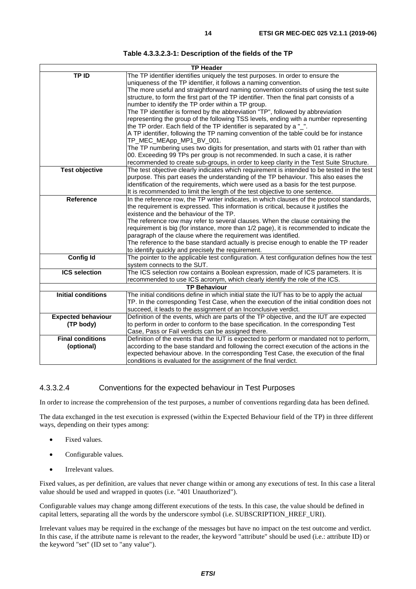<span id="page-13-0"></span>

|                           | <b>TP Header</b>                                                                                                                                  |
|---------------------------|---------------------------------------------------------------------------------------------------------------------------------------------------|
| TP ID                     | The TP identifier identifies uniquely the test purposes. In order to ensure the                                                                   |
|                           | uniqueness of the TP identifier, it follows a naming convention.                                                                                  |
|                           | The more useful and straightforward naming convention consists of using the test suite                                                            |
|                           | structure, to form the first part of the TP identifier. Then the final part consists of a                                                         |
|                           | number to identify the TP order within a TP group.                                                                                                |
|                           | The TP identifier is formed by the abbreviation "TP", followed by abbreviation                                                                    |
|                           | representing the group of the following TSS levels, ending with a number representing                                                             |
|                           | the TP order. Each field of the TP identifier is separated by a "_".                                                                              |
|                           | A TP identifier, following the TP naming convention of the table could be for instance                                                            |
|                           | TP_MEC_MEApp_MP1_BV_001.                                                                                                                          |
|                           | The TP numbering uses two digits for presentation, and starts with 01 rather than with                                                            |
|                           | 00. Exceeding 99 TPs per group is not recommended. In such a case, it is rather                                                                   |
|                           | recommended to create sub-groups, in order to keep clarity in the Test Suite Structure.                                                           |
| <b>Test objective</b>     | The test objective clearly indicates which requirement is intended to be tested in the test                                                       |
|                           | purpose. This part eases the understanding of the TP behaviour. This also eases the                                                               |
|                           | identification of the requirements, which were used as a basis for the test purpose.                                                              |
|                           | It is recommended to limit the length of the test objective to one sentence.                                                                      |
| <b>Reference</b>          | In the reference row, the TP writer indicates, in which clauses of the protocol standards,                                                        |
|                           | the requirement is expressed. This information is critical, because it justifies the                                                              |
|                           | existence and the behaviour of the TP.                                                                                                            |
|                           | The reference row may refer to several clauses. When the clause containing the                                                                    |
|                           | requirement is big (for instance, more than 1/2 page), it is recommended to indicate the                                                          |
|                           | paragraph of the clause where the requirement was identified.                                                                                     |
|                           | The reference to the base standard actually is precise enough to enable the TP reader                                                             |
| <b>Config Id</b>          | to identify quickly and precisely the requirement.<br>The pointer to the applicable test configuration. A test configuration defines how the test |
|                           | system connects to the SUT.                                                                                                                       |
| <b>ICS selection</b>      | The ICS selection row contains a Boolean expression, made of ICS parameters. It is                                                                |
|                           | recommended to use ICS acronym, which clearly identify the role of the ICS.                                                                       |
|                           | <b>TP Behaviour</b>                                                                                                                               |
| <b>Initial conditions</b> | The initial conditions define in which initial state the IUT has to be to apply the actual                                                        |
|                           | TP. In the corresponding Test Case, when the execution of the initial condition does not                                                          |
|                           | succeed, it leads to the assignment of an Inconclusive verdict.                                                                                   |
| <b>Expected behaviour</b> | Definition of the events, which are parts of the TP objective, and the IUT are expected                                                           |
| (TP body)                 | to perform in order to conform to the base specification. In the corresponding Test                                                               |
|                           | Case, Pass or Fail verdicts can be assigned there.                                                                                                |
| <b>Final conditions</b>   | Definition of the events that the IUT is expected to perform or mandated not to perform,                                                          |
| (optional)                | according to the base standard and following the correct execution of the actions in the                                                          |
|                           | expected behaviour above. In the corresponding Test Case, the execution of the final                                                              |
|                           | conditions is evaluated for the assignment of the final verdict.                                                                                  |

#### 4.3.3.2.4 Conventions for the expected behaviour in Test Purposes

In order to increase the comprehension of the test purposes, a number of conventions regarding data has been defined.

The data exchanged in the test execution is expressed (within the Expected Behaviour field of the TP) in three different ways, depending on their types among:

- Fixed values.
- Configurable values.
- Irrelevant values.

Fixed values, as per definition, are values that never change within or among any executions of test. In this case a literal value should be used and wrapped in quotes (i.e. "401 Unauthorized").

Configurable values may change among different executions of the tests. In this case, the value should be defined in capital letters, separating all the words by the underscore symbol (i.e. SUBSCRIPTION\_HREF\_URI).

Irrelevant values may be required in the exchange of the messages but have no impact on the test outcome and verdict. In this case, if the attribute name is relevant to the reader, the keyword "attribute" should be used (i.e.: attribute ID) or the keyword "set" (ID set to "any value").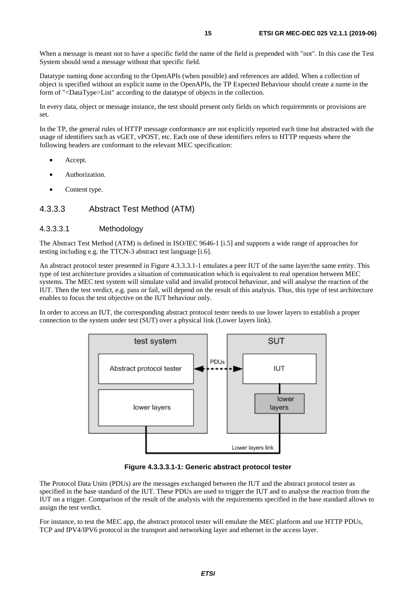<span id="page-14-0"></span>When a message is meant not to have a specific field the name of the field is prepended with "not". In this case the Test System should send a message without that specific field.

Datatype naming done according to the OpenAPIs (when possible) and references are added. When a collection of object is specified without an explicit name in the OpenAPIs, the TP Expected Behaviour should create a name in the form of "<DataType>List" according to the datatype of objects in the collection.

In every data, object or message instance, the test should present only fields on which requirements or provisions are set.

In the TP, the general rules of HTTP message conformance are not explicitly reported each time but abstracted with the usage of identifiers such as vGET, vPOST, etc. Each one of these identifiers refers to HTTP requests where the following headers are conformant to the relevant MEC specification:

- Accept.
- Authorization.
- Content type.

#### 4.3.3.3 Abstract Test Method (ATM)

#### 4.3.3.3.1 Methodology

The Abstract Test Method (ATM) is defined in ISO/IEC 9646-1 [\[i.5](#page-5-0)] and supports a wide range of approaches for testing including e.g. the TTCN-3 abstract test language [\[i.6\]](#page-5-0).

An abstract protocol tester presented in Figure 4.3.3.3.1-1 emulates a peer IUT of the same layer/the same entity. This type of test architecture provides a situation of communication which is equivalent to real operation between MEC systems. The MEC test system will simulate valid and invalid protocol behaviour, and will analyse the reaction of the IUT. Then the test verdict, e.g. pass or fail, will depend on the result of this analysis. Thus, this type of test architecture enables to focus the test objective on the IUT behaviour only.

In order to access an IUT, the corresponding abstract protocol tester needs to use lower layers to establish a proper connection to the system under test (SUT) over a physical link (Lower layers link).



**Figure 4.3.3.3.1-1: Generic abstract protocol tester** 

The Protocol Data Units (PDUs) are the messages exchanged between the IUT and the abstract protocol tester as specified in the base standard of the IUT. These PDUs are used to trigger the IUT and to analyse the reaction from the IUT on a trigger. Comparison of the result of the analysis with the requirements specified in the base standard allows to assign the test verdict.

For instance, to test the MEC app, the abstract protocol tester will emulate the MEC platform and use HTTP PDUs, TCP and IPV4/IPV6 protocol in the transport and networking layer and ethernet in the access layer.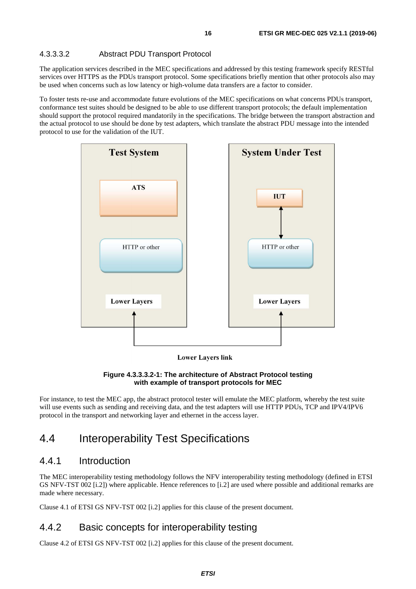#### <span id="page-15-0"></span>4.3.3.3.2 Abstract PDU Transport Protocol

The application services described in the MEC specifications and addressed by this testing framework specify RESTful services over HTTPS as the PDUs transport protocol. Some specifications briefly mention that other protocols also may be used when concerns such as low latency or high-volume data transfers are a factor to consider.

To foster tests re-use and accommodate future evolutions of the MEC specifications on what concerns PDUs transport, conformance test suites should be designed to be able to use different transport protocols; the default implementation should support the protocol required mandatorily in the specifications. The bridge between the transport abstraction and the actual protocol to use should be done by test adapters, which translate the abstract PDU message into the intended protocol to use for the validation of the IUT.

![](_page_15_Figure_4.jpeg)

**Lower Layers link** 

#### **Figure 4.3.3.3.2-1: The architecture of Abstract Protocol testing with example of transport protocols for MEC**

For instance, to test the MEC app, the abstract protocol tester will emulate the MEC platform, whereby the test suite will use events such as sending and receiving data, and the test adapters will use HTTP PDUs, TCP and IPV4/IPV6 protocol in the transport and networking layer and ethernet in the access layer.

### 4.4 Interoperability Test Specifications

### 4.4.1 Introduction

The MEC interoperability testing methodology follows the NFV interoperability testing methodology (defined in ETSI GS NFV-TST 002 [\[i.2\]](#page-5-0)) where applicable. Hence references to [\[i.2](#page-5-0)] are used where possible and additional remarks are made where necessary.

Clause 4.1 of ETSI GS NFV-TST 002 [[i.2\]](#page-5-0) applies for this clause of the present document.

### 4.4.2 Basic concepts for interoperability testing

Clause 4.2 of ETSI GS NFV-TST 002 [[i.2\]](#page-5-0) applies for this clause of the present document.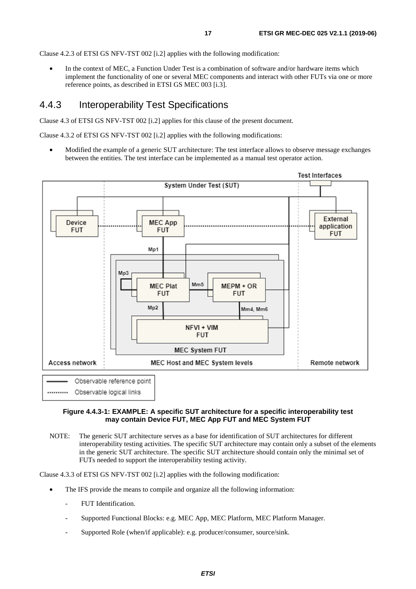<span id="page-16-0"></span>Clause 4.2.3 of ETSI GS NFV-TST 002 [[i.2](#page-5-0)] applies with the following modification:

In the context of MEC, a Function Under Test is a combination of software and/or hardware items which implement the functionality of one or several MEC components and interact with other FUTs via one or more reference points, as described in ETSI GS MEC 003 [\[i.3\]](#page-5-0).

### 4.4.3 Interoperability Test Specifications

Clause 4.3 of ETSI GS NFV-TST 002 [[i.2\]](#page-5-0) applies for this clause of the present document.

Clause 4.3.2 of ETSI GS NFV-TST 002 [[i.2](#page-5-0)] applies with the following modifications:

• Modified the example of a generic SUT architecture: The test interface allows to observe message exchanges between the entities. The test interface can be implemented as a manual test operator action.

![](_page_16_Figure_7.jpeg)

#### **Figure 4.4.3-1: EXAMPLE: A specific SUT architecture for a specific interoperability test may contain Device FUT, MEC App FUT and MEC System FUT**

NOTE: The generic SUT architecture serves as a base for identification of SUT architectures for different interoperability testing activities. The specific SUT architecture may contain only a subset of the elements in the generic SUT architecture. The specific SUT architecture should contain only the minimal set of FUTs needed to support the interoperability testing activity.

Clause 4.3.3 of ETSI GS NFV-TST 002 [[i.2](#page-5-0)] applies with the following modification:

- The IFS provide the means to compile and organize all the following information:
	- FUT Identification.
	- Supported Functional Blocks: e.g. MEC App, MEC Platform, MEC Platform Manager.
	- Supported Role (when/if applicable): e.g. producer/consumer, source/sink.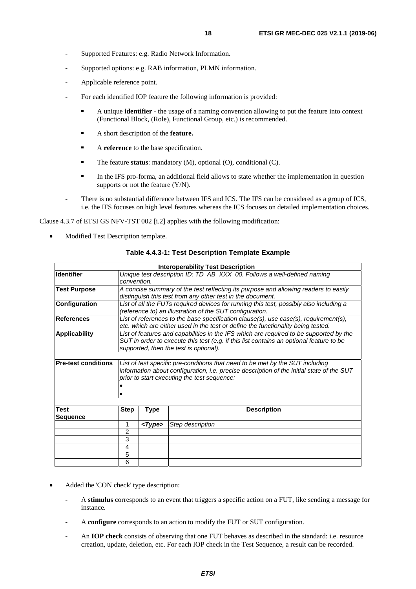- Supported Features: e.g. Radio Network Information.
- Supported options: e.g. RAB information, PLMN information.
- Applicable reference point.
- For each identified IOP feature the following information is provided:
	- A unique **identifier** the usage of a naming convention allowing to put the feature into context (Functional Block, (Role), Functional Group, etc.) is recommended.
	- A short description of the **feature.**
	- <sup>A</sup>**reference** to the base specification.
	- The feature **status**: mandatory (M), optional (O), conditional (C).
	- In the IFS pro-forma, an additional field allows to state whether the implementation in question supports or not the feature (Y/N).
- There is no substantial difference between IFS and ICS. The IFS can be considered as a group of ICS, i.e. the IFS focuses on high level features whereas the ICS focuses on detailed implementation choices.

Clause 4.3.7 of ETSI GS NFV-TST 002 [[i.2](#page-5-0)] applies with the following modification:

• Modified Test Description template.

|                            |                |                                                                                        | <b>Interoperability Test Description</b>                                                  |  |  |
|----------------------------|----------------|----------------------------------------------------------------------------------------|-------------------------------------------------------------------------------------------|--|--|
| <b>Identifier</b>          |                |                                                                                        | Unique test description ID: TD_AB_XXX_00. Follows a well-defined naming                   |  |  |
|                            | convention.    |                                                                                        |                                                                                           |  |  |
| <b>Test Purpose</b>        |                |                                                                                        | A concise summary of the test reflecting its purpose and allowing readers to easily       |  |  |
|                            |                |                                                                                        | distinguish this test from any other test in the document.                                |  |  |
| <b>Configuration</b>       |                | List of all the FUTs required devices for running this test, possibly also including a |                                                                                           |  |  |
|                            |                |                                                                                        | (reference to) an illustration of the SUT configuration.                                  |  |  |
| References                 |                |                                                                                        | List of references to the base specification clause(s), use case(s), requirement(s),      |  |  |
|                            |                |                                                                                        | etc. which are either used in the test or define the functionality being tested.          |  |  |
| <b>Applicability</b>       |                |                                                                                        | List of features and capabilities in the IFS which are required to be supported by the    |  |  |
|                            |                |                                                                                        | SUT in order to execute this test (e.g. if this list contains an optional feature to be   |  |  |
|                            |                |                                                                                        | supported, then the test is optional).                                                    |  |  |
|                            |                |                                                                                        |                                                                                           |  |  |
| <b>Pre-test conditions</b> |                |                                                                                        | List of test specific pre-conditions that need to be met by the SUT including             |  |  |
|                            |                |                                                                                        | information about configuration, i.e. precise description of the initial state of the SUT |  |  |
|                            |                |                                                                                        | prior to start executing the test sequence:                                               |  |  |
|                            |                |                                                                                        |                                                                                           |  |  |
|                            |                |                                                                                        |                                                                                           |  |  |
|                            |                |                                                                                        |                                                                                           |  |  |
| <b>Test</b>                | <b>Step</b>    | <b>Type</b>                                                                            | <b>Description</b>                                                                        |  |  |
| <b>Sequence</b>            |                |                                                                                        |                                                                                           |  |  |
|                            | 1              | $<$ Type>                                                                              | Step description                                                                          |  |  |
|                            | $\overline{2}$ |                                                                                        |                                                                                           |  |  |
|                            | 3              |                                                                                        |                                                                                           |  |  |
|                            | 4              |                                                                                        |                                                                                           |  |  |
|                            | 5              |                                                                                        |                                                                                           |  |  |
|                            | 6              |                                                                                        |                                                                                           |  |  |

#### **Table [4.4.3-](#page-16-0)1: Test Description Template Example**

- Added the 'CON check' type description:
	- A **stimulus** corresponds to an event that triggers a specific action on a FUT, like sending a message for instance.
	- A **configure** corresponds to an action to modify the FUT or SUT configuration.
	- An **IOP check** consists of observing that one FUT behaves as described in the standard: i.e. resource creation, update, deletion, etc. For each IOP check in the Test Sequence, a result can be recorded.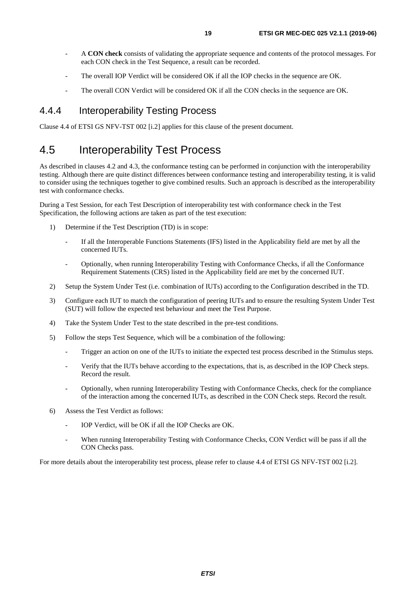- <span id="page-18-0"></span>- A **CON check** consists of validating the appropriate sequence and contents of the protocol messages. For each CON check in the Test Sequence, a result can be recorded.
- The overall IOP Verdict will be considered OK if all the IOP checks in the sequence are OK.
- The overall CON Verdict will be considered OK if all the CON checks in the sequence are OK.

### 4.4.4 Interoperability Testing Process

Clause 4.4 of ETSI GS NFV-TST 002 [[i.2\]](#page-5-0) applies for this clause of the present document.

# 4.5 Interoperability Test Process

As described in clauses 4.2 and 4.3, the conformance testing can be performed in conjunction with the interoperability testing. Although there are quite distinct differences between conformance testing and interoperability testing, it is valid to consider using the techniques together to give combined results. Such an approach is described as the interoperability test with conformance checks.

During a Test Session, for each Test Description of interoperability test with conformance check in the Test Specification, the following actions are taken as part of the test execution:

- 1) Determine if the Test Description (TD) is in scope:
	- If all the Interoperable Functions Statements (IFS) listed in the Applicability field are met by all the concerned IUTs.
	- Optionally, when running Interoperability Testing with Conformance Checks, if all the Conformance Requirement Statements (CRS) listed in the Applicability field are met by the concerned IUT.
- 2) Setup the System Under Test (i.e. combination of IUTs) according to the Configuration described in the TD.
- 3) Configure each IUT to match the configuration of peering IUTs and to ensure the resulting System Under Test (SUT) will follow the expected test behaviour and meet the Test Purpose.
- 4) Take the System Under Test to the state described in the pre-test conditions.
- 5) Follow the steps Test Sequence, which will be a combination of the following:
	- Trigger an action on one of the IUTs to initiate the expected test process described in the Stimulus steps.
	- Verify that the IUTs behave according to the expectations, that is, as described in the IOP Check steps. Record the result.
	- Optionally, when running Interoperability Testing with Conformance Checks, check for the compliance of the interaction among the concerned IUTs, as described in the CON Check steps. Record the result.
- 6) Assess the Test Verdict as follows:
	- IOP Verdict, will be OK if all the IOP Checks are OK.
	- When running Interoperability Testing with Conformance Checks, CON Verdict will be pass if all the CON Checks pass.

For more details about the interoperability test process, please refer to clause 4.4 of ETSI GS NFV-TST 002 [\[i.2](#page-5-0)].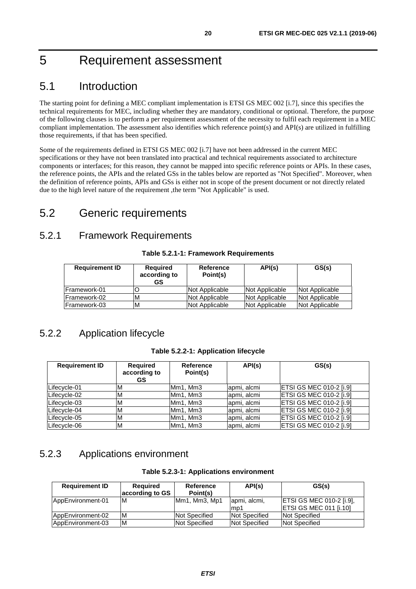# <span id="page-19-0"></span>5 Requirement assessment

# 5.1 Introduction

The starting point for defining a MEC compliant implementation is ETSI GS MEC 002 [\[i.7](#page-5-0)], since this specifies the technical requirements for MEC, including whether they are mandatory, conditional or optional. Therefore, the purpose of the following clauses is to perform a per requirement assessment of the necessity to fulfil each requirement in a MEC compliant implementation. The assessment also identifies which reference point(s) and API(s) are utilized in fulfilling those requirements, if that has been specified.

Some of the requirements defined in ETSI GS MEC 002 [[i.7](#page-5-0)] have not been addressed in the current MEC specifications or they have not been translated into practical and technical requirements associated to architecture components or interfaces; for this reason, they cannot be mapped into specific reference points or APIs. In these cases, the reference points, the APIs and the related GSs in the tables below are reported as "Not Specified". Moreover, when the definition of reference points, APIs and GSs is either not in scope of the present document or not directly related due to the high level nature of the requirement ,the term "Not Applicable" is used.

# 5.2 Generic requirements

### 5.2.1 Framework Requirements

#### **Table 5.2.1-1: Framework Requirements**

| <b>Requirement ID</b> | <b>Required</b><br>according to<br>GS | Reference<br>Point(s) | API(s)         | GS(s)          |
|-----------------------|---------------------------------------|-----------------------|----------------|----------------|
| IFramework-01         |                                       | Not Applicable        | Not Applicable | Not Applicable |
| <b>IFramework-02</b>  | M                                     | Not Applicable        | Not Applicable | Not Applicable |
| Framework-03          | M                                     | Not Applicable        | Not Applicable | Not Applicable |

### 5.2.2 Application lifecycle

#### **Table 5.2.2-1: Application lifecycle**

| <b>Requirement ID</b> | <b>Required</b><br>according to<br>GS. | Reference<br>Point(s)             | API(s)      | GS(s)                           |
|-----------------------|----------------------------------------|-----------------------------------|-------------|---------------------------------|
| Lifecycle-01          |                                        | Mm1, Mm3                          | apmi, alcmi | <b>IETSI GS MEC 010-2 [i.9]</b> |
| Lifecycle-02          |                                        | Mm <sub>1</sub> , Mm <sub>3</sub> | apmi, alcmi | <b>ETSI GS MEC 010-2 [i.9]</b>  |
| Lifecycle-03          |                                        | Mm <sub>1</sub> , Mm <sub>3</sub> | apmi, alcmi | <b>ETSI GS MEC 010-2 [i.9]</b>  |
| Lifecycle-04          | ΙVΙ                                    | Mm1, Mm3                          | apmi, alcmi | ETSI GS MEC 010-2 [i.9]         |
| Lifecycle-05          | 'M                                     | Mm1, Mm3                          | apmi, alcmi | <b>ETSI GS MEC 010-2 [i.9]</b>  |
| Lifecycle-06          | M                                      | Mm1, Mm3                          | apmi, alcmi | <b>ETSI GS MEC 010-2 [i.9]</b>  |

### 5.2.3 Applications environment

| <b>Requirement ID</b> | <b>Required</b> | Reference            | API(s)        | GS(s)                            |
|-----------------------|-----------------|----------------------|---------------|----------------------------------|
|                       | according to GS | Point(s)             |               |                                  |
| AppEnvironment-01     | M               | Mm1, Mm3, Mp1        | apmi, alcmi,  | <b>IETSI GS MEC 010-2 [i.9],</b> |
|                       |                 |                      | lmp1          | <b>IETSI GS MEC 011 [i.10]</b>   |
| AppEnvironment-02     | M               | <b>Not Specified</b> | Not Specified | Not Specified                    |
| AppEnvironment-03     | ΙM              | Not Specified        | Not Specified | Not Specified                    |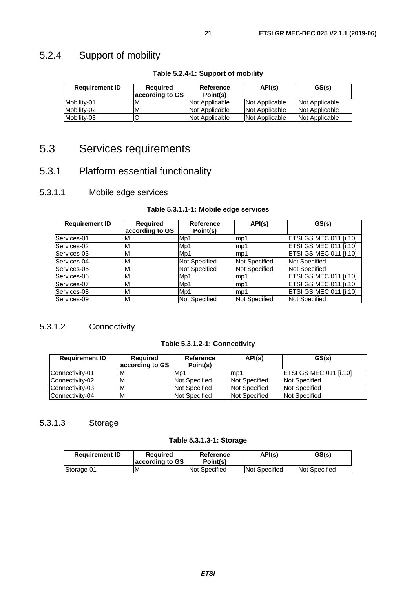# <span id="page-20-0"></span>5.2.4 Support of mobility

| <b>Requirement ID</b> | <b>Required</b><br>according to GS | Reference<br>Point(s) | API(s)                | GS(s)          |
|-----------------------|------------------------------------|-----------------------|-----------------------|----------------|
| Mobility-01           | M                                  | Not Applicable        | <b>Not Applicable</b> | Not Applicable |
| Mobility-02           | M                                  | Not Applicable        | Not Applicable        | Not Applicable |
| Mobility-03           |                                    | Not Applicable        | Not Applicable        | Not Applicable |

#### **Table 5.2.4-1: Support of mobility**

# 5.3 Services requirements

### 5.3.1 Platform essential functionality

### 5.3.1.1 Mobile edge services

#### **Table 5.3.1.1-1: Mobile edge services**

| <b>Requirement ID</b> | <b>Required</b><br>according to GS | <b>Reference</b><br>Point(s) | API(s)               | GS(s)                         |
|-----------------------|------------------------------------|------------------------------|----------------------|-------------------------------|
| Services-01           | M                                  | Mp1                          | mp1                  | <b>ETSI GS MEC 011 [i.10]</b> |
| Services-02           | M                                  | Mp1                          | lmp1                 | <b>ETSI GS MEC 011 [i.10]</b> |
| Services-03           | м                                  | M <sub>D</sub> 1             | lmp1                 | <b>ETSI GS MEC 011 [i.10]</b> |
| Services-04           | м                                  | <b>Not Specified</b>         | <b>Not Specified</b> | <b>Not Specified</b>          |
| Services-05           | М                                  | <b>Not Specified</b>         | Not Specified        | Not Specified                 |
| Services-06           | м                                  | Mp1                          | lmp1                 | <b>ETSI GS MEC 011 [i.10]</b> |
| Services-07           | м                                  | M <sub>p</sub> 1             | mp1                  | <b>ETSI GS MEC 011 [i.10]</b> |
| Services-08           | М                                  | Mp1                          | lmp1                 | ETSI GS MEC 011 [i.10]        |
| Services-09           | м                                  | <b>Not Specified</b>         | <b>Not Specified</b> | <b>Not Specified</b>          |

### 5.3.1.2 Connectivity

#### **Table 5.3.1.2-1: Connectivity**

| <b>Requirement ID</b> | <b>Required</b><br>according to GS | Reference<br>Point(s) | API(s)                | GS(s)                          |
|-----------------------|------------------------------------|-----------------------|-----------------------|--------------------------------|
| Connectivity-01       | M                                  | M <sub>p</sub> 1      | lmp1                  | <b>IETSI GS MEC 011 [i.10]</b> |
| Connectivity-02       | IΜ                                 | Not Specified         | <b>Not Specified</b>  | Not Specified                  |
| Connectivity-03       | M                                  | Not Specified         | <b>INot Specified</b> | Not Specified                  |
| Connectivity-04       | M                                  | Not Specified         | <b>Not Specified</b>  | <b>Not Specified</b>           |

### 5.3.1.3 Storage

#### **Table 5.3.1.3-1: Storage**

| <b>Requirement ID</b> | <b>Required</b><br>according to GS | Reference<br>Point(s) | API(s)        | GS(s)         |
|-----------------------|------------------------------------|-----------------------|---------------|---------------|
| Storage-01            | M                                  | Not Specified         | Not Specified | Not Specified |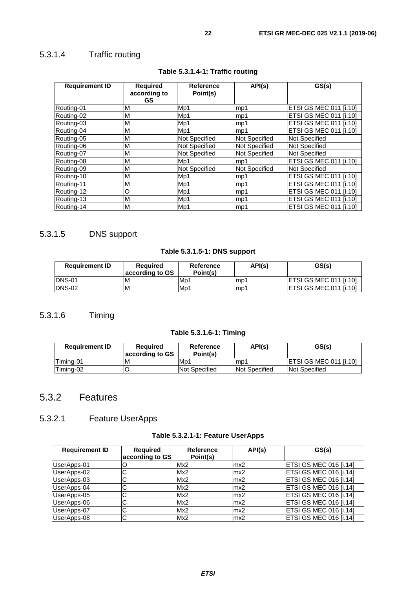### <span id="page-21-0"></span>5.3.1.4 Traffic routing

| <b>Requirement ID</b> | <b>Required</b><br>according to<br><b>GS</b> | Reference<br>Point(s) | API(s)               | GS(s)                         |
|-----------------------|----------------------------------------------|-----------------------|----------------------|-------------------------------|
| Routing-01            | M                                            | Mp1                   | mp1                  | ETSI GS MEC 011 [i.10]        |
| Routing-02            | M                                            | Mp1                   | mp1                  | ETSI GS MEC 011 [i.10]        |
| Routing-03            | M                                            | Mp1                   | mp1                  | ETSI GS MEC 011 [i.10]        |
| Routing-04            | M                                            | Mp1                   | mp1                  | ETSI GS MEC 011 [i.10]        |
| Routing-05            | M                                            | <b>Not Specified</b>  | <b>Not Specified</b> | <b>Not Specified</b>          |
| Routing-06            | M                                            | <b>Not Specified</b>  | <b>Not Specified</b> | <b>Not Specified</b>          |
| Routing-07            | M                                            | <b>Not Specified</b>  | <b>Not Specified</b> | <b>Not Specified</b>          |
| Routing-08            | M                                            | Mp1                   | mp1                  | ETSI GS MEC 011 [i.10]        |
| Routing-09            | M                                            | <b>Not Specified</b>  | <b>Not Specified</b> | <b>Not Specified</b>          |
| Routing-10            | M                                            | Mp1                   | mp1                  | ETSI GS MEC 011 [i.10]        |
| Routing-11            | M                                            | Mp1                   | mp1                  | <b>ETSI GS MEC 011 [i.10]</b> |
| Routing-12            | O                                            | Mp1                   | mp1                  | ETSI GS MEC 011 [i.10]        |
| Routing-13            | M                                            | Mp1                   | mp1                  | ETSI GS MEC 011 [i.10]        |
| Routing-14            | M                                            | Mp1                   | mp1                  | <b>ETSI GS MEC 011 [i.10]</b> |

### **Table 5.3.1.4-1: Traffic routing**

### 5.3.1.5 DNS support

#### **Table 5.3.1.5-1: DNS support**

| <b>Requirement ID</b> | <b>Required</b><br>according to GS | Reference<br>Point(s) | API(s) | GS(s)                          |
|-----------------------|------------------------------------|-----------------------|--------|--------------------------------|
| <b>IDNS-01</b>        | ιM                                 | M <sub>D</sub> 1      | Imp1   | <b>IETSI GS MEC 011 [i.10]</b> |
| IDNS-02               | ΙM                                 | M <sub>D</sub> 1      | lmp1   | <b>IETSI GS MEC 011 [i.10]</b> |

### 5.3.1.6 Timing

#### **Table 5.3.1.6-1: Timing**

| <b>Requirement ID</b> | <b>Required</b><br>according to GS | Reference<br>Point(s) | API(s)               | GS(s)                          |
|-----------------------|------------------------------------|-----------------------|----------------------|--------------------------------|
| Timina-01             | M                                  | Mp1                   | lmp1                 | <b>IETSI GS MEC 011 [i.10]</b> |
| Timina-02             |                                    | Not Specified         | <b>Not Specified</b> | Not Specified                  |

### 5.3.2 Features

### 5.3.2.1 Feature UserApps

#### **Table 5.3.2.1-1: Feature UserApps**

| <b>Requirement ID</b> | <b>Required</b> | Reference | API(s) | GS(s)                         |
|-----------------------|-----------------|-----------|--------|-------------------------------|
|                       | according to GS | Point(s)  |        |                               |
| UserApps-01           |                 | Mx2       | mx2    | <b>ETSI GS MEC 016 [i.14]</b> |
| UserApps-02           |                 | Mx2       | mx2    | IETSI GS MEC 016 [i.14]       |
| UserApps-03           |                 | Mx2       | mx2    | ETSI GS MEC 016 [i.14]        |
| UserApps-04           |                 | Mx2       | mx2    | ETSI GS MEC 016 [i.14]        |
| UserApps-05           | $\sim$<br>◡     | Mx2       | mx2    | ETSI GS MEC 016 [i.14]        |
| UserApps-06           | ⌒               | Mx2       | mx2    | <b>ETSI GS MEC 016 [i.14]</b> |
| UserApps-07           | ⌒               | Mx2       | mx2    | <b>ETSI GS MEC 016 [i.14]</b> |
| UserApps-08           | ⌒               | Mx2       | mx2    | ETSI GS MEC 016 [i.14]        |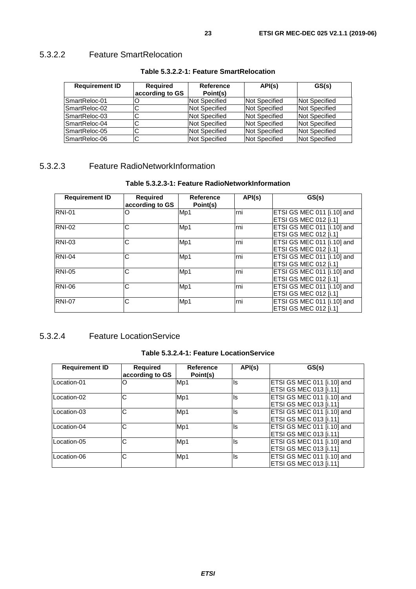### <span id="page-22-0"></span>5.3.2.2 Feature SmartRelocation

| <b>Requirement ID</b> | <b>Required</b><br>according to GS | Reference<br>Point(s) | API(s)               | GS(s)                |
|-----------------------|------------------------------------|-----------------------|----------------------|----------------------|
| SmartReloc-01         |                                    | Not Specified         | Not Specified        | Not Specified        |
| SmartReloc-02         |                                    | Not Specified         | Not Specified        | Not Specified        |
| SmartReloc-03         | ີ                                  | Not Specified         | Not Specified        | Not Specified        |
| SmartReloc-04         |                                    | Not Specified         | Not Specified        | Not Specified        |
| SmartReloc-05         |                                    | <b>Not Specified</b>  | Not Specified        | Not Specified        |
| SmartReloc-06         | ◡                                  | <b>Not Specified</b>  | <b>Not Specified</b> | <b>Not Specified</b> |

#### **Table 5.3.2.2-1: Feature SmartRelocation**

### 5.3.2.3 Feature RadioNetworkInformation

#### **Table 5.3.2.3-1: Feature RadioNetworkInformation**

| <b>Requirement ID</b> | <b>Required</b><br>according to GS | Reference<br>Point(s) | API(s) | GS(s)                                                      |
|-----------------------|------------------------------------|-----------------------|--------|------------------------------------------------------------|
| <b>RNI-01</b>         | O                                  | Mp1                   | lrni   | ETSI GS MEC 011 [i.10] and<br><b>ETSI GS MEC 012 [i.1]</b> |
| <b>RNI-02</b>         | C                                  | Mp1                   | rni    | ETSI GS MEC 011 [i.10] and<br><b>ETSI GS MEC 012 [i.1]</b> |
| <b>RNI-03</b>         | С                                  | Mp1                   | rni    | ETSI GS MEC 011 [i.10] and<br><b>ETSI GS MEC 012 [i.1]</b> |
| <b>RNI-04</b>         | C                                  | Mp1                   | rni    | ETSI GS MEC 011 [i.10] and<br><b>ETSI GS MEC 012 [i.1]</b> |
| <b>RNI-05</b>         | C                                  | Mp1                   | rni    | ETSI GS MEC 011 [i.10] and<br><b>ETSI GS MEC 012 [i.1]</b> |
| <b>RNI-06</b>         | C                                  | Mp1                   | Irni   | ETSI GS MEC 011 [i.10] and<br><b>ETSI GS MEC 012 [i.1]</b> |
| <b>RNI-07</b>         | C                                  | Mp1                   | rni    | ETSI GS MEC 011 [i.10] and<br><b>ETSI GS MEC 012 [i.1]</b> |

### 5.3.2.4 Feature LocationService

#### **Table 5.3.2.4-1: Feature LocationService**

| <b>Requirement ID</b> | Required<br>according to GS | <b>Reference</b><br>Point(s) | API(s) | GS(s)                                                       |
|-----------------------|-----------------------------|------------------------------|--------|-------------------------------------------------------------|
| Location-01           |                             | Mp1                          | lls    | ETSI GS MEC 011 [i.10] and<br><b>ETSI GS MEC 013 [i.11]</b> |
| Location-02           | С                           | Mp1                          | lls    | ETSI GS MEC 011 [i.10] and<br><b>ETSI GS MEC 013 [i.11]</b> |
| Location-03           | С                           | Mp1                          | lls    | ETSI GS MEC 011 [i.10] and<br><b>ETSI GS MEC 013 [i.11]</b> |
| Location-04           | C                           | Mp1                          | lls    | ETSI GS MEC 011 [i.10] and<br><b>ETSI GS MEC 013 [i.11]</b> |
| Location-05           | С                           | Mp1                          | ls     | ETSI GS MEC 011 [i.10] and<br><b>ETSI GS MEC 013 [i.11]</b> |
| Location-06           | С                           | Mp1                          | ls     | ETSI GS MEC 011 [i.10] and<br><b>ETSI GS MEC 013 [i.11]</b> |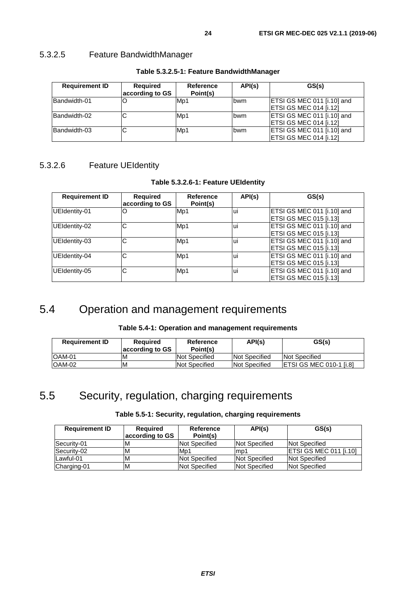<span id="page-23-0"></span>

| <b>Requirement ID</b> | <b>Required</b><br>according to GS | Reference<br>Point(s) | API(s)     | GS(s)                                                |
|-----------------------|------------------------------------|-----------------------|------------|------------------------------------------------------|
| Bandwidth-01          |                                    | M <sub>p</sub> 1      | bwm        | ETSI GS MEC 011 [i.10] and<br>ETSI GS MEC 014 [i.12] |
| Bandwidth-02          | ັ                                  | Mp1                   | <b>bwm</b> | ETSI GS MEC 011 [i.10] and<br>ETSI GS MEC 014 [i.12] |
| Bandwidth-03          | ັ                                  | Mp1                   | <b>bwm</b> | ETSI GS MEC 011 [i.10] and<br>ETSI GS MEC 014 [i.12] |

#### **Table 5.3.2.5-1: Feature BandwidthManager**

### 5.3.2.6 Feature UEIdentity

#### **Table 5.3.2.6-1: Feature UEIdentity**

| <b>Requirement ID</b> | Required<br>according to GS | Reference<br>Point(s) | API(s) | GS(s)                      |
|-----------------------|-----------------------------|-----------------------|--------|----------------------------|
| UEIdentity-01         |                             | Mp1                   | Ιuι    | ETSI GS MEC 011 [i.10] and |
|                       |                             |                       |        | ETSI GS MEC 015 [i.13]     |
| UEIdentity-02         | С                           | Mp1                   | Ιuί    | ETSI GS MEC 011 [i.10] and |
|                       |                             |                       |        | ETSI GS MEC 015 [i.13]     |
| UEIdentity-03         | C                           | Mp1                   | Ιuί    | ETSI GS MEC 011 [i.10] and |
|                       |                             |                       |        | ETSI GS MEC 015 [i.13]     |
| UEIdentity-04         | С                           | Mp1                   | lui    | ETSI GS MEC 011 [i.10] and |
|                       |                             |                       |        | ETSI GS MEC 015 [i.13]     |
| UEIdentity-05         | C                           | Mp1                   | lui    | ETSI GS MEC 011 [i.10] and |
|                       |                             |                       |        | ETSI GS MEC 015 [i.13]     |

# 5.4 Operation and management requirements

#### **Table 5.4-1: Operation and management requirements**

| <b>Requirement ID</b> | Reauired<br>according to GS | Reference<br>Point(s) | API(s)                | GS(s)                           |
|-----------------------|-----------------------------|-----------------------|-----------------------|---------------------------------|
| IOAM-01               | M                           | Not Specified         | <b>INot Specified</b> | Not Specified                   |
| IOAM-02               | M                           | Not Specified         | Not Specified         | <b>IETSI GS MEC 010-1 [i.8]</b> |

# 5.5 Security, regulation, charging requirements

| <b>Requirement ID</b> | Reguired<br>according to GS | Reference<br>Point(s) | API(s)                | GS(s)                          |
|-----------------------|-----------------------------|-----------------------|-----------------------|--------------------------------|
| Security-01           | ΙM                          | Not Specified         | <b>Not Specified</b>  | <b>Not Specified</b>           |
| Security-02           | ιм                          | Mp1                   | lmp1                  | <b>IETSI GS MEC 011 [i.10]</b> |
| Lawful-01             | M                           | Not Specified         | <b>Not Specified</b>  | <b>Not Specified</b>           |
| Charging-01           | ΙM                          | Not Specified         | <b>INot Specified</b> | <b>Not Specified</b>           |

### **Table 5.5-1: Security, regulation, charging requirements**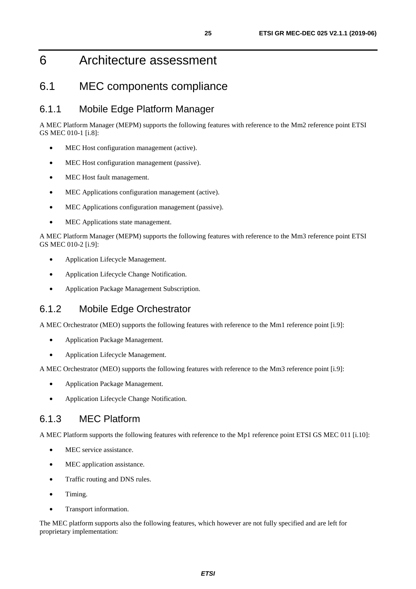# <span id="page-24-0"></span>6 Architecture assessment

### 6.1 MEC components compliance

### 6.1.1 Mobile Edge Platform Manager

A MEC Platform Manager (MEPM) supports the following features with reference to the Mm2 reference point ETSI GS MEC 010-1 [\[i.8](#page-5-0)]:

- MEC Host configuration management (active).
- MEC Host configuration management (passive).
- MEC Host fault management.
- MEC Applications configuration management (active).
- MEC Applications configuration management (passive).
- MEC Applications state management.

A MEC Platform Manager (MEPM) supports the following features with reference to the Mm3 reference point ETSI GS MEC 010-2 [\[i.9](#page-5-0)]:

- Application Lifecycle Management.
- Application Lifecycle Change Notification.
- Application Package Management Subscription.

### 6.1.2 Mobile Edge Orchestrator

A MEC Orchestrator (MEO) supports the following features with reference to the Mm1 reference point [\[i.9\]](#page-5-0):

- Application Package Management.
- Application Lifecycle Management.

A MEC Orchestrator (MEO) supports the following features with reference to the Mm3 reference point [\[i.9\]](#page-5-0):

- Application Package Management.
- Application Lifecycle Change Notification.

### 6.1.3 MEC Platform

A MEC Platform supports the following features with reference to the Mp1 reference point ETSI GS MEC 011 [\[i.10\]](#page-5-0):

- MEC service assistance.
- MEC application assistance.
- Traffic routing and DNS rules.
- Timing.
- Transport information.

The MEC platform supports also the following features, which however are not fully specified and are left for proprietary implementation: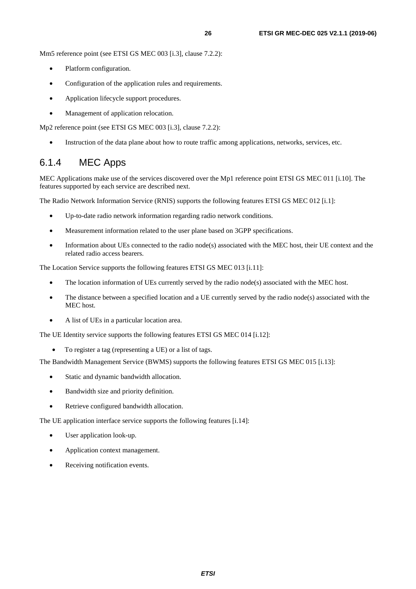<span id="page-25-0"></span>Mm5 reference point (see ETSI GS MEC 003 [\[i.3](#page-5-0)], clause 7.2.2):

- Platform configuration.
- Configuration of the application rules and requirements.
- Application lifecycle support procedures.
- Management of application relocation.

Mp2 reference point (see ETSI GS MEC 003 [\[i.3](#page-5-0)], clause 7.2.2):

• Instruction of the data plane about how to route traffic among applications, networks, services, etc.

### 6.1.4 MEC Apps

MEC Applications make use of the services discovered over the Mp1 reference point ETSI GS MEC 011 [\[i.10\]](#page-5-0). The features supported by each service are described next.

The Radio Network Information Service (RNIS) supports the following features ETSI GS MEC 012 [\[i.1\]](#page-5-0):

- Up-to-date radio network information regarding radio network conditions.
- Measurement information related to the user plane based on 3GPP specifications.
- Information about UEs connected to the radio node(s) associated with the MEC host, their UE context and the related radio access bearers.

The Location Service supports the following features ETSI GS MEC 013 [[i.11](#page-5-0)]:

- The location information of UEs currently served by the radio node(s) associated with the MEC host.
- The distance between a specified location and a UE currently served by the radio node(s) associated with the MEC host.
- A list of UEs in a particular location area.

The UE Identity service supports the following features ETSI GS MEC 014 [\[i.12\]](#page-6-0):

• To register a tag (representing a UE) or a list of tags.

The Bandwidth Management Service (BWMS) supports the following features ETSI GS MEC 015 [\[i.13](#page-6-0)]:

- Static and dynamic bandwidth allocation.
- Bandwidth size and priority definition.
- Retrieve configured bandwidth allocation.

The UE application interface service supports the following features [[i.14\]](#page-6-0):

- User application look-up.
- Application context management.
- Receiving notification events.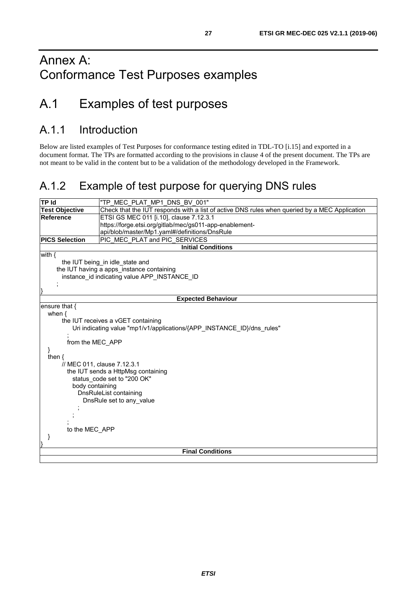# <span id="page-26-0"></span>Annex A: Conformance Test Purposes examples

# A.1 Examples of test purposes

# A.1.1 Introduction

Below are listed examples of Test Purposes for conformance testing edited in TDL-TO [[i.15](#page-6-0)] and exported in a document format. The TPs are formatted according to the provisions in clause 4 of the present document. The TPs are not meant to be valid in the content but to be a validation of the methodology developed in the Framework.

# A.1.2 Example of test purpose for querying DNS rules

| <b>TP Id</b>          | "TP MEC PLAT MP1 DNS BV 001"                                                                  |  |  |  |
|-----------------------|-----------------------------------------------------------------------------------------------|--|--|--|
| <b>Test Objective</b> | Check that the IUT responds with a list of active DNS rules when queried by a MEC Application |  |  |  |
| Reference             | ETSI GS MEC 011 [i.10], clause 7.12.3.1                                                       |  |  |  |
|                       | https://forge.etsi.org/gitlab/mec/gs011-app-enablement-                                       |  |  |  |
|                       | api/blob/master/Mp1.yaml#/definitions/DnsRule                                                 |  |  |  |
| <b>PICS Selection</b> | PIC MEC PLAT and PIC SERVICES                                                                 |  |  |  |
|                       | <b>Initial Conditions</b>                                                                     |  |  |  |
| with $\{$             |                                                                                               |  |  |  |
|                       | the IUT being in idle state and                                                               |  |  |  |
|                       | the IUT having a apps instance containing                                                     |  |  |  |
|                       | instance_id indicating value APP_INSTANCE ID                                                  |  |  |  |
|                       |                                                                                               |  |  |  |
|                       |                                                                                               |  |  |  |
|                       | <b>Expected Behaviour</b>                                                                     |  |  |  |
| ensure that {         |                                                                                               |  |  |  |
| when $\{$             |                                                                                               |  |  |  |
|                       | the IUT receives a vGET containing                                                            |  |  |  |
|                       | Uri indicating value "mp1/v1/applications/{APP_INSTANCE_ID}/dns_rules"                        |  |  |  |
|                       |                                                                                               |  |  |  |
| from the MEC APP      |                                                                                               |  |  |  |
| }                     |                                                                                               |  |  |  |
| then $\{$             |                                                                                               |  |  |  |
|                       | // MEC 011, clause 7.12.3.1                                                                   |  |  |  |
|                       | the IUT sends a HttpMsg containing                                                            |  |  |  |
|                       | status code set to "200 OK"                                                                   |  |  |  |
| body containing       |                                                                                               |  |  |  |
|                       | DnsRuleList containing                                                                        |  |  |  |
|                       | DnsRule set to any value                                                                      |  |  |  |
|                       |                                                                                               |  |  |  |
|                       |                                                                                               |  |  |  |
| to the MEC APP        |                                                                                               |  |  |  |
|                       |                                                                                               |  |  |  |
| ł                     |                                                                                               |  |  |  |
|                       | <b>Final Conditions</b>                                                                       |  |  |  |
|                       |                                                                                               |  |  |  |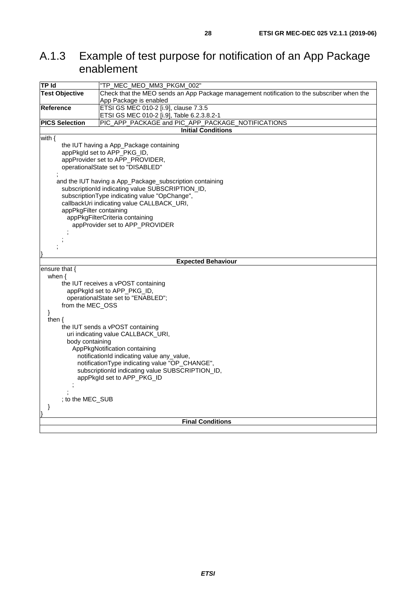# <span id="page-27-0"></span>A.1.3 Example of test purpose for notification of an App Package enablement

| TP Id                                            | "TP_MEC_MEO_MM3_PKGM_002"                                                                  |  |  |  |
|--------------------------------------------------|--------------------------------------------------------------------------------------------|--|--|--|
| <b>Test Objective</b>                            | Check that the MEO sends an App Package management notification to the subscriber when the |  |  |  |
|                                                  | App Package is enabled                                                                     |  |  |  |
| <b>Reference</b>                                 | ETSI GS MEC 010-2 [i.9], clause 7.3.5                                                      |  |  |  |
|                                                  | ETSI GS MEC 010-2 [i.9], Table 6.2.3.8.2-1                                                 |  |  |  |
| <b>PICS Selection</b>                            | PIC_APP_PACKAGE and PIC_APP_PACKAGE_NOTIFICATIONS                                          |  |  |  |
|                                                  | <b>Initial Conditions</b>                                                                  |  |  |  |
| with $\{$                                        |                                                                                            |  |  |  |
|                                                  | the IUT having a App_Package containing<br>appPkgld set to APP_PKG_ID,                     |  |  |  |
|                                                  | appProvider set to APP_PROVIDER,                                                           |  |  |  |
|                                                  | operationalState set to "DISABLED"                                                         |  |  |  |
|                                                  |                                                                                            |  |  |  |
|                                                  | and the IUT having a App_Package_subscription containing                                   |  |  |  |
|                                                  | subscriptionId indicating value SUBSCRIPTION_ID,                                           |  |  |  |
|                                                  | subscriptionType indicating value "OpChange",                                              |  |  |  |
|                                                  | callbackUri indicating value CALLBACK_URI,                                                 |  |  |  |
| appPkgFilter containing                          |                                                                                            |  |  |  |
|                                                  | appPkgFilterCriteria containing                                                            |  |  |  |
|                                                  | appProvider set to APP_PROVIDER                                                            |  |  |  |
|                                                  |                                                                                            |  |  |  |
|                                                  |                                                                                            |  |  |  |
|                                                  |                                                                                            |  |  |  |
|                                                  |                                                                                            |  |  |  |
|                                                  | <b>Expected Behaviour</b>                                                                  |  |  |  |
| ensure that {<br>when $\{$                       |                                                                                            |  |  |  |
|                                                  | the IUT receives a vPOST containing                                                        |  |  |  |
|                                                  | appPkgld set to APP_PKG_ID,                                                                |  |  |  |
|                                                  | operationalState set to "ENABLED";                                                         |  |  |  |
| from the MEC_OSS                                 |                                                                                            |  |  |  |
| }                                                |                                                                                            |  |  |  |
| then $\{$                                        |                                                                                            |  |  |  |
|                                                  | the IUT sends a vPOST containing                                                           |  |  |  |
|                                                  | uri indicating value CALLBACK_URI,                                                         |  |  |  |
| body containing                                  |                                                                                            |  |  |  |
| AppPkgNotification containing                    |                                                                                            |  |  |  |
| notificationId indicating value any_value,       |                                                                                            |  |  |  |
| notificationType indicating value "OP_CHANGE",   |                                                                                            |  |  |  |
| subscriptionId indicating value SUBSCRIPTION_ID, |                                                                                            |  |  |  |
| appPkgld set to APP_PKG_ID                       |                                                                                            |  |  |  |
|                                                  |                                                                                            |  |  |  |
|                                                  |                                                                                            |  |  |  |
| ; to the MEC_SUB                                 |                                                                                            |  |  |  |
| }                                                |                                                                                            |  |  |  |
|                                                  |                                                                                            |  |  |  |
|                                                  | <b>Final Conditions</b>                                                                    |  |  |  |
|                                                  |                                                                                            |  |  |  |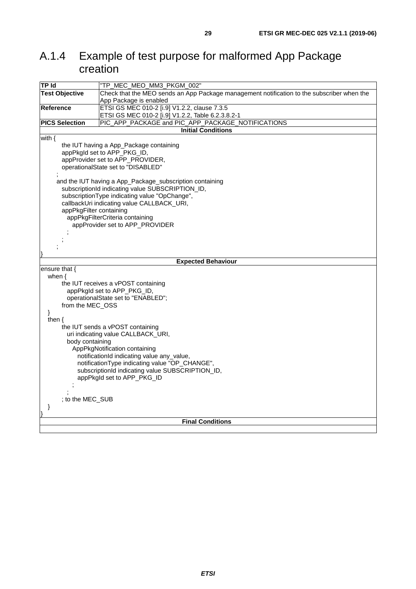# <span id="page-28-0"></span>A.1.4 Example of test purpose for malformed App Package creation

| <b>TP Id</b>                                     | "TP_MEC_MEO_MM3_PKGM_002"                                                                  |  |  |  |  |
|--------------------------------------------------|--------------------------------------------------------------------------------------------|--|--|--|--|
| <b>Test Objective</b>                            | Check that the MEO sends an App Package management notification to the subscriber when the |  |  |  |  |
|                                                  | App Package is enabled                                                                     |  |  |  |  |
| Reference                                        | ETSI GS MEC 010-2 [i.9] V1.2.2, clause 7.3.5                                               |  |  |  |  |
|                                                  | ETSI GS MEC 010-2 [i.9] V1.2.2, Table 6.2.3.8.2-1                                          |  |  |  |  |
| <b>PICS Selection</b>                            | PIC_APP_PACKAGE and PIC_APP_PACKAGE_NOTIFICATIONS                                          |  |  |  |  |
|                                                  | <b>Initial Conditions</b>                                                                  |  |  |  |  |
| with $\{$                                        |                                                                                            |  |  |  |  |
|                                                  | the IUT having a App_Package containing                                                    |  |  |  |  |
|                                                  | appPkgld set to APP_PKG_ID,                                                                |  |  |  |  |
|                                                  | appProvider set to APP_PROVIDER,                                                           |  |  |  |  |
|                                                  | operationalState set to "DISABLED"                                                         |  |  |  |  |
|                                                  | and the IUT having a App_Package_subscription containing                                   |  |  |  |  |
|                                                  | subscriptionId indicating value SUBSCRIPTION_ID,                                           |  |  |  |  |
|                                                  | subscriptionType indicating value "OpChange",                                              |  |  |  |  |
|                                                  | callbackUri indicating value CALLBACK_URI,                                                 |  |  |  |  |
| appPkgFilter containing                          |                                                                                            |  |  |  |  |
|                                                  | appPkgFilterCriteria containing                                                            |  |  |  |  |
|                                                  | appProvider set to APP_PROVIDER                                                            |  |  |  |  |
|                                                  |                                                                                            |  |  |  |  |
|                                                  |                                                                                            |  |  |  |  |
|                                                  |                                                                                            |  |  |  |  |
|                                                  |                                                                                            |  |  |  |  |
|                                                  | <b>Expected Behaviour</b>                                                                  |  |  |  |  |
| ensure that {                                    |                                                                                            |  |  |  |  |
| when $\{$                                        |                                                                                            |  |  |  |  |
|                                                  | the IUT receives a vPOST containing                                                        |  |  |  |  |
|                                                  | appPkgld set to APP_PKG_ID,                                                                |  |  |  |  |
|                                                  | operationalState set to "ENABLED";                                                         |  |  |  |  |
| from the MEC_OSS<br>}                            |                                                                                            |  |  |  |  |
| then $\{$                                        |                                                                                            |  |  |  |  |
|                                                  | the IUT sends a vPOST containing                                                           |  |  |  |  |
|                                                  | uri indicating value CALLBACK_URI,                                                         |  |  |  |  |
|                                                  | body containing                                                                            |  |  |  |  |
|                                                  | AppPkgNotification containing                                                              |  |  |  |  |
| notificationId indicating value any_value,       |                                                                                            |  |  |  |  |
| notificationType indicating value "OP_CHANGE",   |                                                                                            |  |  |  |  |
| subscriptionId indicating value SUBSCRIPTION_ID, |                                                                                            |  |  |  |  |
| appPkgld set to APP_PKG_ID                       |                                                                                            |  |  |  |  |
|                                                  |                                                                                            |  |  |  |  |
|                                                  |                                                                                            |  |  |  |  |
| ; to the MEC_SUB                                 |                                                                                            |  |  |  |  |
| }                                                |                                                                                            |  |  |  |  |
|                                                  |                                                                                            |  |  |  |  |
|                                                  |                                                                                            |  |  |  |  |
|                                                  | <b>Final Conditions</b>                                                                    |  |  |  |  |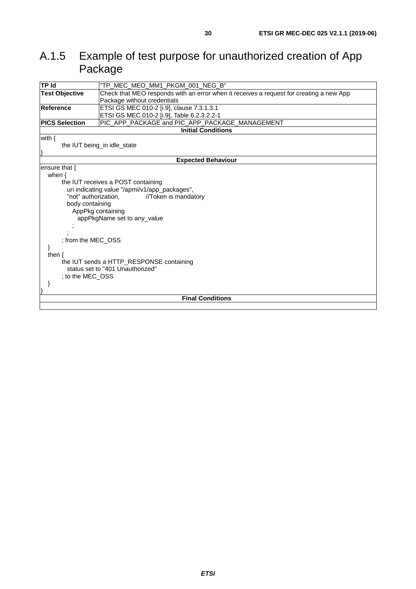# <span id="page-29-0"></span>A.1.5 Example of test purpose for unauthorized creation of App Package

| <b>TP Id</b>                                           | "TP_MEC_MEO_MM1_PKGM_001_NEG_B"                                                         |  |  |
|--------------------------------------------------------|-----------------------------------------------------------------------------------------|--|--|
| <b>Test Objective</b>                                  | Check that MEO responds with an error when it receives a request for creating a new App |  |  |
|                                                        | Package without credentials                                                             |  |  |
| Reference<br>ETSI GS MEC 010-2 [i.9], clause 7.3.1.3.1 |                                                                                         |  |  |
|                                                        | ETSI GS MEC 010-2 [i.9], Table 6.2.3.2.2-1                                              |  |  |
| <b>PICS Selection</b>                                  | PIC_APP_PACKAGE and PIC_APP_PACKAGE_MANAGEMENT                                          |  |  |
|                                                        | <b>Initial Conditions</b>                                                               |  |  |
| with $\{$                                              |                                                                                         |  |  |
|                                                        | the IUT being_in idle_state                                                             |  |  |
|                                                        |                                                                                         |  |  |
|                                                        | <b>Expected Behaviour</b>                                                               |  |  |
| ensure that $\{$                                       |                                                                                         |  |  |
| when $\{$                                              |                                                                                         |  |  |
|                                                        | the IUT receives a POST containing                                                      |  |  |
|                                                        | uri indicating value "/apmi/v1/app_packages",                                           |  |  |
| "not" authorization,                                   | //Token is mandatory                                                                    |  |  |
| body containing                                        |                                                                                         |  |  |
| AppPkg containing                                      |                                                                                         |  |  |
|                                                        | appPkgName set to any_value                                                             |  |  |
|                                                        |                                                                                         |  |  |
|                                                        |                                                                                         |  |  |
| : from the MEC OSS                                     |                                                                                         |  |  |
|                                                        |                                                                                         |  |  |
| then $\{$                                              |                                                                                         |  |  |
| the IUT sends a HTTP_RESPONSE containing               |                                                                                         |  |  |
| status set to "401 Unauthorized"                       |                                                                                         |  |  |
| ; to the MEC_OSS                                       |                                                                                         |  |  |
|                                                        |                                                                                         |  |  |
|                                                        |                                                                                         |  |  |
| <b>Final Conditions</b>                                |                                                                                         |  |  |
|                                                        |                                                                                         |  |  |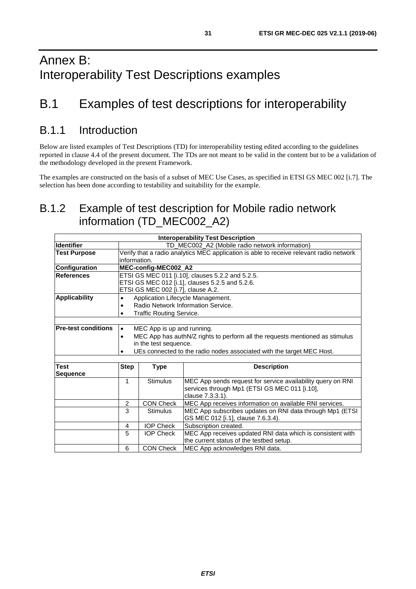# <span id="page-30-0"></span>B.1 Examples of test descriptions for interoperability

# B.1.1 Introduction

Below are listed examples of Test Descriptions (TD) for interoperability testing edited according to the guidelines reported in clause [4.4](#page-15-0) of the present document. The TDs are not meant to be valid in the content but to be a validation of the methodology developed in the present Framework.

The examples are constructed on the basis of a subset of MEC Use Cases, as specified in ETSI GS MEC 002 [\[i.7\]](#page-5-0). The selection has been done according to testability and suitability for the example.

# B.1.2 Example of test description for Mobile radio network information (TD\_MEC002\_A2)

| <b>Interoperability Test Description</b> |                                                  |                                                                                         |                                                                       |  |  |
|------------------------------------------|--------------------------------------------------|-----------------------------------------------------------------------------------------|-----------------------------------------------------------------------|--|--|
| <b>Identifier</b>                        |                                                  | TD_MEC002_A2 (Mobile radio network information)                                         |                                                                       |  |  |
| <b>Test Purpose</b>                      |                                                  | Verify that a radio analytics MEC application is able to receive relevant radio network |                                                                       |  |  |
|                                          | information.                                     |                                                                                         |                                                                       |  |  |
| <b>Configuration</b>                     |                                                  | MEC-config-MEC002_A2                                                                    |                                                                       |  |  |
| <b>References</b>                        | ETSI GS MEC 011 [i.10], clauses 5.2.2 and 5.2.5. |                                                                                         |                                                                       |  |  |
|                                          |                                                  |                                                                                         | ETSI GS MEC 012 [i.1], clauses 5.2.5 and 5.2.6.                       |  |  |
|                                          |                                                  | ETSI GS MEC 002 [i.7], clause A.2.                                                      |                                                                       |  |  |
| <b>Applicability</b>                     | Application Lifecycle Management.<br>$\bullet$   |                                                                                         |                                                                       |  |  |
|                                          |                                                  |                                                                                         | Radio Network Information Service.                                    |  |  |
|                                          |                                                  | Traffic Routing Service.                                                                |                                                                       |  |  |
|                                          |                                                  |                                                                                         |                                                                       |  |  |
| <b>Pre-test conditions</b>               | $\bullet$                                        | MEC App is up and running.                                                              |                                                                       |  |  |
|                                          | $\bullet$                                        | MEC App has authN/Z rights to perform all the requests mentioned as stimulus            |                                                                       |  |  |
|                                          |                                                  | in the test sequence.                                                                   |                                                                       |  |  |
|                                          | $\bullet$                                        |                                                                                         | UEs connected to the radio nodes associated with the target MEC Host. |  |  |
|                                          |                                                  |                                                                                         |                                                                       |  |  |
| Test                                     | <b>Step</b>                                      | <b>Type</b>                                                                             | <b>Description</b>                                                    |  |  |
| <b>Sequence</b>                          |                                                  |                                                                                         |                                                                       |  |  |
|                                          | 1                                                | <b>Stimulus</b>                                                                         | MEC App sends request for service availability query on RNI           |  |  |
|                                          |                                                  |                                                                                         | services through Mp1 (ETSI GS MEC 011 [i.10],                         |  |  |
|                                          |                                                  |                                                                                         | clause 7.3.3.1).                                                      |  |  |
|                                          | $\overline{c}$                                   | <b>CON Check</b>                                                                        | MEC App receives information on available RNI services.               |  |  |
|                                          | 3                                                | <b>Stimulus</b>                                                                         | MEC App subscribes updates on RNI data through Mp1 (ETSI              |  |  |
|                                          |                                                  |                                                                                         | GS MEC 012 [i.1], clause 7.6.3.4).                                    |  |  |
|                                          | 4                                                | <b>IOP Check</b>                                                                        | Subscription created.                                                 |  |  |
|                                          | 5                                                | <b>IOP Check</b>                                                                        | MEC App receives updated RNI data which is consistent with            |  |  |
|                                          |                                                  |                                                                                         | the current status of the testbed setup.                              |  |  |
|                                          | 6                                                | <b>CON Check</b>                                                                        | MEC App acknowledges RNI data.                                        |  |  |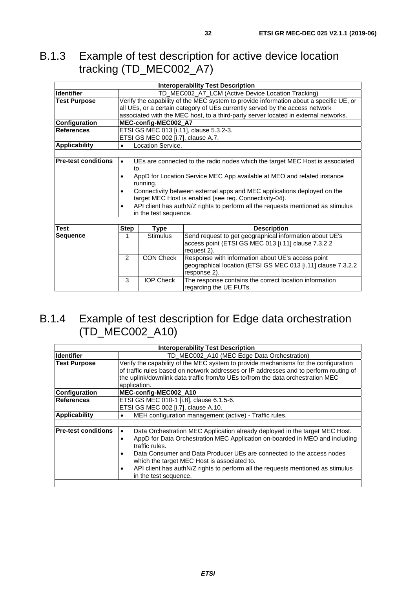# <span id="page-31-0"></span>B.1.3 Example of test description for active device location tracking (TD\_MEC002\_A7)

|                            | <b>Interoperability Test Description</b>                                                     |                                                                              |                                                                                     |  |
|----------------------------|----------------------------------------------------------------------------------------------|------------------------------------------------------------------------------|-------------------------------------------------------------------------------------|--|
| <b>Identifier</b>          | TD_MEC002_A7_LCM (Active Device Location Tracking)                                           |                                                                              |                                                                                     |  |
| <b>Test Purpose</b>        | Verify the capability of the MEC system to provide information about a specific UE, or       |                                                                              |                                                                                     |  |
|                            |                                                                                              | all UEs, or a certain category of UEs currently served by the access network |                                                                                     |  |
|                            |                                                                                              |                                                                              | associated with the MEC host, to a third-party server located in external networks. |  |
| Configuration              |                                                                                              | MEC-config-MEC002_A7                                                         |                                                                                     |  |
| References                 | ETSI GS MEC 013 [i.11], clause 5.3.2-3.                                                      |                                                                              |                                                                                     |  |
|                            | ETSI GS MEC 002 [i.7], clause A.7.                                                           |                                                                              |                                                                                     |  |
| <b>Applicability</b>       | $\bullet$                                                                                    | Location Service.                                                            |                                                                                     |  |
|                            |                                                                                              |                                                                              |                                                                                     |  |
| <b>Pre-test conditions</b> | $\bullet$                                                                                    |                                                                              | UEs are connected to the radio nodes which the target MEC Host is associated        |  |
|                            | to.                                                                                          |                                                                              |                                                                                     |  |
|                            | $\bullet$                                                                                    |                                                                              | AppD for Location Service MEC App available at MEO and related instance             |  |
|                            |                                                                                              | running.                                                                     |                                                                                     |  |
|                            | Connectivity between external apps and MEC applications deployed on the<br>$\bullet$         |                                                                              |                                                                                     |  |
|                            | target MEC Host is enabled (see req. Connectivity-04).                                       |                                                                              |                                                                                     |  |
|                            | API client has authN/Z rights to perform all the requests mentioned as stimulus<br>$\bullet$ |                                                                              |                                                                                     |  |
|                            | in the test sequence.                                                                        |                                                                              |                                                                                     |  |
|                            |                                                                                              |                                                                              |                                                                                     |  |
| Test                       | <b>Step</b>                                                                                  | Type                                                                         | <b>Description</b>                                                                  |  |
| <b>Sequence</b>            | 1                                                                                            | <b>Stimulus</b>                                                              | Send request to get geographical information about UE's                             |  |
|                            |                                                                                              |                                                                              | access point (ETSI GS MEC 013 [i.11] clause 7.3.2.2                                 |  |
|                            |                                                                                              |                                                                              | request 2).                                                                         |  |
|                            | $\mathfrak{p}$                                                                               | <b>CON Check</b>                                                             | Response with information about UE's access point                                   |  |
|                            |                                                                                              |                                                                              | geographical location (ETSI GS MEC 013 [i.11] clause 7.3.2.2                        |  |
|                            |                                                                                              |                                                                              | response 2).                                                                        |  |
|                            | 3                                                                                            | <b>IOP Check</b>                                                             | The response contains the correct location information                              |  |
|                            |                                                                                              |                                                                              | regarding the UE FUTs.                                                              |  |

# B.1.4 Example of test description for Edge data orchestration (TD\_MEC002\_A10)

|                            | <b>Interoperability Test Description</b>                                                                             |  |  |  |  |
|----------------------------|----------------------------------------------------------------------------------------------------------------------|--|--|--|--|
| <b>Identifier</b>          | TD MEC002 A10 (MEC Edge Data Orchestration)                                                                          |  |  |  |  |
| <b>Test Purpose</b>        | Verify the capability of the MEC system to provide mechanisms for the configuration                                  |  |  |  |  |
|                            | of traffic rules based on network addresses or IP addresses and to perform routing of                                |  |  |  |  |
|                            | the uplink/downlink data traffic from/to UEs to/from the data orchestration MEC                                      |  |  |  |  |
|                            | application.                                                                                                         |  |  |  |  |
| <b>Configuration</b>       | MEC-config-MEC002_A10                                                                                                |  |  |  |  |
| <b>References</b>          | ETSI GS MEC 010-1 [i.8], clause 6.1.5-6.                                                                             |  |  |  |  |
|                            | ETSI GS MEC 002 [i.7], clause A.10.                                                                                  |  |  |  |  |
| Applicability              | MEH configuration management (active) - Traffic rules.<br>٠                                                          |  |  |  |  |
|                            |                                                                                                                      |  |  |  |  |
| <b>Pre-test conditions</b> | Data Orchestration MEC Application already deployed in the target MEC Host.<br>$\bullet$                             |  |  |  |  |
|                            | AppD for Data Orchestration MEC Application on-boarded in MEO and including<br>٠<br>traffic rules.                   |  |  |  |  |
|                            | Data Consumer and Data Producer UEs are connected to the access nodes<br>which the target MEC Host is associated to. |  |  |  |  |
|                            | API client has authN/Z rights to perform all the requests mentioned as stimulus<br>٠                                 |  |  |  |  |
|                            | in the test sequence.                                                                                                |  |  |  |  |
|                            |                                                                                                                      |  |  |  |  |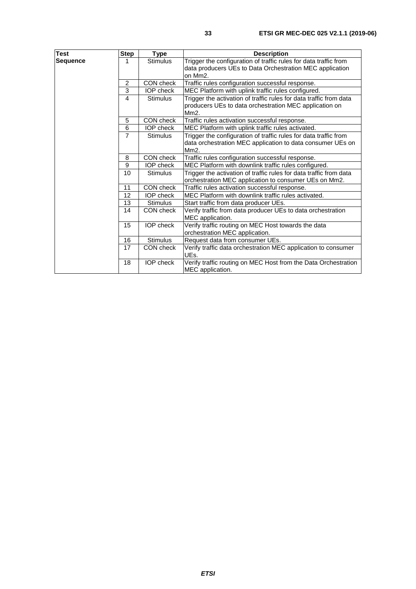| Test            | <b>Step</b>    | <b>Type</b>      | <b>Description</b>                                                                                                                                   |
|-----------------|----------------|------------------|------------------------------------------------------------------------------------------------------------------------------------------------------|
| <b>Sequence</b> | 1              | <b>Stimulus</b>  | Trigger the configuration of traffic rules for data traffic from<br>data producers UEs to Data Orchestration MEC application<br>on Mm <sub>2</sub> . |
|                 | 2              | CON check        | Traffic rules configuration successful response.                                                                                                     |
|                 | 3              | <b>IOP</b> check | MEC Platform with uplink traffic rules configured.                                                                                                   |
|                 | 4              | <b>Stimulus</b>  | Trigger the activation of traffic rules for data traffic from data<br>producers UEs to data orchestration MEC application on<br>Mm2.                 |
|                 | 5              | CON check        | Traffic rules activation successful response.                                                                                                        |
|                 | 6              | <b>IOP</b> check | MEC Platform with uplink traffic rules activated.                                                                                                    |
|                 | $\overline{7}$ | <b>Stimulus</b>  | Trigger the configuration of traffic rules for data traffic from<br>data orchestration MEC application to data consumer UEs on<br>Mm2.               |
|                 | 8              | CON check        | Traffic rules configuration successful response.                                                                                                     |
|                 | 9              | <b>IOP</b> check | MEC Platform with downlink traffic rules configured.                                                                                                 |
|                 | 10             | <b>Stimulus</b>  | Trigger the activation of traffic rules for data traffic from data<br>orchestration MEC application to consumer UEs on Mm2.                          |
|                 | 11             | CON check        | Traffic rules activation successful response.                                                                                                        |
|                 | 12             | <b>IOP</b> check | MEC Platform with downlink traffic rules activated.                                                                                                  |
|                 | 13             | <b>Stimulus</b>  | Start traffic from data producer UEs.                                                                                                                |
|                 | 14             | CON check        | Verify traffic from data producer UEs to data orchestration<br>MEC application.                                                                      |
|                 | 15             | <b>IOP</b> check | Verify traffic routing on MEC Host towards the data<br>orchestration MEC application.                                                                |
|                 | 16             | <b>Stimulus</b>  | Request data from consumer UEs.                                                                                                                      |
|                 | 17             | CON check        | Verify traffic data orchestration MEC application to consumer<br>UEs.                                                                                |
|                 | 18             | <b>IOP</b> check | Verify traffic routing on MEC Host from the Data Orchestration<br>MEC application.                                                                   |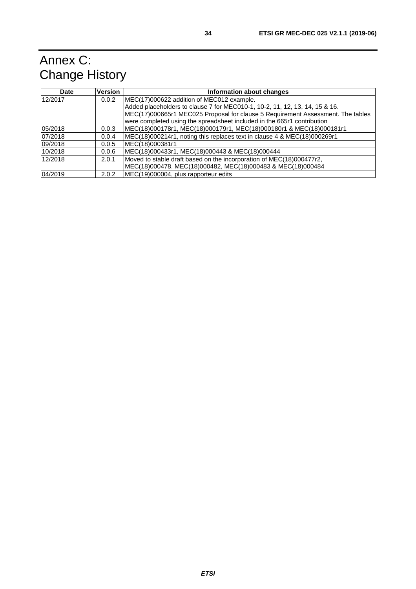# <span id="page-33-0"></span>Annex C: Change History

| <b>Date</b> | <b>Version</b> | Information about changes                                                       |
|-------------|----------------|---------------------------------------------------------------------------------|
| 12/2017     | 0.0.2          | MEC(17)000622 addition of MEC012 example.                                       |
|             |                | Added placeholders to clause 7 for MEC010-1, 10-2, 11, 12, 13, 14, 15 & 16.     |
|             |                | MEC(17)000665r1 MEC025 Proposal for clause 5 Requirement Assessment. The tables |
|             |                | were completed using the spreadsheet included in the 665r1 contribution         |
| 05/2018     | 0.0.3          | MEC(18)000178r1, MEC(18)000179r1, MEC(18)000180r1 & MEC(18)000181r1             |
| 07/2018     | 0.0.4          | MEC(18)000214r1, noting this replaces text in clause 4 & MEC(18)000269r1        |
| 09/2018     | 0.0.5          | MEC(18)000381r1                                                                 |
| 10/2018     | 0.0.6          | MEC(18)000433r1, MEC(18)000443 & MEC(18)000444                                  |
| 12/2018     | 2.0.1          | Moved to stable draft based on the incorporation of MEC(18)000477r2,            |
|             |                | MEC(18)000478, MEC(18)000482, MEC(18)000483 & MEC(18)000484                     |
| 04/2019     | 2.0.2          | MEC(19)000004, plus rapporteur edits                                            |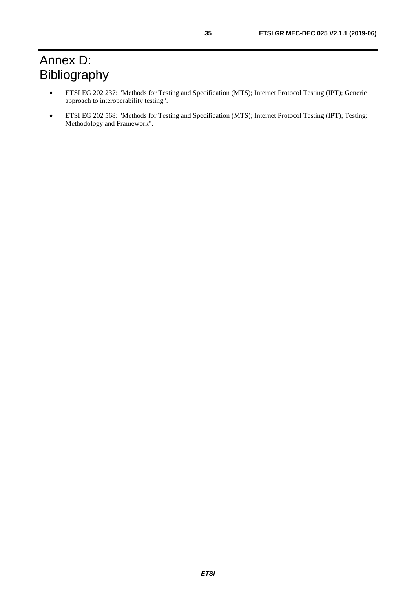# <span id="page-34-0"></span>Annex D: Bibliography

- ETSI EG 202 237: "Methods for Testing and Specification (MTS); Internet Protocol Testing (IPT); Generic approach to interoperability testing".
- ETSI EG 202 568: "Methods for Testing and Specification (MTS); Internet Protocol Testing (IPT); Testing: Methodology and Framework".